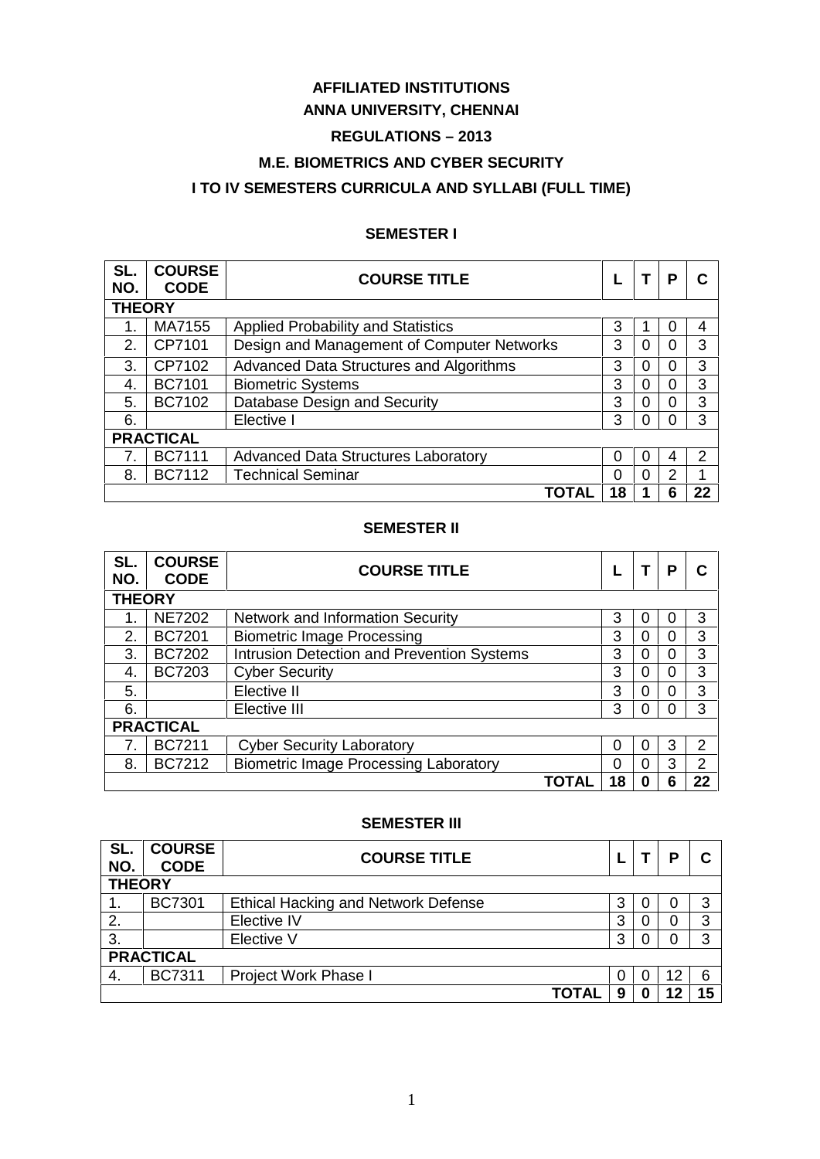# **AFFILIATED INSTITUTIONS**

## **ANNA UNIVERSITY, CHENNAI**

# **REGULATIONS – 2013**

## **M.E. BIOMETRICS AND CYBER SECURITY**

# **I TO IV SEMESTERS CURRICULA AND SYLLABI (FULL TIME)**

### **SEMESTER I**

| SL.<br>NO.       | <b>COURSE</b><br><b>CODE</b> | <b>COURSE TITLE</b>                        |    |          | P | C              |  |  |
|------------------|------------------------------|--------------------------------------------|----|----------|---|----------------|--|--|
|                  | <b>THEORY</b>                |                                            |    |          |   |                |  |  |
|                  | MA7155                       | Applied Probability and Statistics         | 3  |          | 0 | 4              |  |  |
| 2.               | CP7101                       | Design and Management of Computer Networks | 3  | $\Omega$ | 0 | 3              |  |  |
| 3.               | CP7102                       | Advanced Data Structures and Algorithms    | 3  | 0        | 0 | 3              |  |  |
| 4.               | <b>BC7101</b>                | <b>Biometric Systems</b>                   | 3  | $\Omega$ | 0 | 3              |  |  |
| 5.               | <b>BC7102</b>                | Database Design and Security               | 3  | 0        | 0 | 3              |  |  |
| 6.               |                              | Elective I                                 | 3  | $\Omega$ | ∩ | 3              |  |  |
| <b>PRACTICAL</b> |                              |                                            |    |          |   |                |  |  |
| 7.               | <b>BC7111</b>                | <b>Advanced Data Structures Laboratory</b> | 0  | $\Omega$ | 4 | $\overline{2}$ |  |  |
| 8.               | <b>BC7112</b>                | <b>Technical Seminar</b>                   | 0  | 0        | 2 |                |  |  |
|                  |                              | ΓΟΤΑΙ                                      | 18 |          | 6 | 22             |  |  |

### **SEMESTER II**

| SL.<br>NO.       | <b>COURSE</b><br><b>CODE</b> | <b>COURSE TITLE</b>                               |    |              | P        | C  |  |  |
|------------------|------------------------------|---------------------------------------------------|----|--------------|----------|----|--|--|
|                  | <b>THEORY</b>                |                                                   |    |              |          |    |  |  |
|                  | <b>NE7202</b>                | Network and Information Security                  | 3  |              | 0        | 3  |  |  |
| 2.               | <b>BC7201</b>                | <b>Biometric Image Processing</b>                 | 3  | $\Omega$     | 0        | 3  |  |  |
| 3.               | <b>BC7202</b>                | <b>Intrusion Detection and Prevention Systems</b> | 3  | $\Omega$     | 0        | 3  |  |  |
| 4.               | <b>BC7203</b>                | <b>Cyber Security</b>                             | 3  | 0            | 0        | 3  |  |  |
| 5.               |                              | Elective II                                       | 3  | $\Omega$     | $\Omega$ | 3  |  |  |
| 6.               |                              | Elective III                                      | 3  | $\Omega$     | 0        | 3  |  |  |
| <b>PRACTICAL</b> |                              |                                                   |    |              |          |    |  |  |
| 7.               | <b>BC7211</b>                | <b>Cyber Security Laboratory</b>                  | 0  | 0            | 3        | 2  |  |  |
| 8.               | <b>BC7212</b>                | <b>Biometric Image Processing Laboratory</b>      | 0  | <sup>0</sup> | 3        | 2  |  |  |
|                  |                              | TOTAL                                             | 18 | 0            | 6        | 22 |  |  |

### **SEMESTER III**

| SL.<br>NO.       | <b>COURSE</b><br><b>CODE</b> | <b>COURSE TITLE</b>                        |   |  | D  | С  |  |  |
|------------------|------------------------------|--------------------------------------------|---|--|----|----|--|--|
| <b>THEORY</b>    |                              |                                            |   |  |    |    |  |  |
| 1.               | <b>BC7301</b>                | <b>Ethical Hacking and Network Defense</b> | 3 |  | 0  | 3  |  |  |
| 2.               |                              | Elective IV                                | 3 |  | 0  | 3  |  |  |
| 3.               |                              | Elective V                                 | 3 |  | 0  | 3  |  |  |
| <b>PRACTICAL</b> |                              |                                            |   |  |    |    |  |  |
| 4.               | <b>BC7311</b>                | <b>Project Work Phase I</b>                | 0 |  | 12 | 6  |  |  |
|                  |                              | <b>TOTAL</b>                               | 9 |  | 12 | 15 |  |  |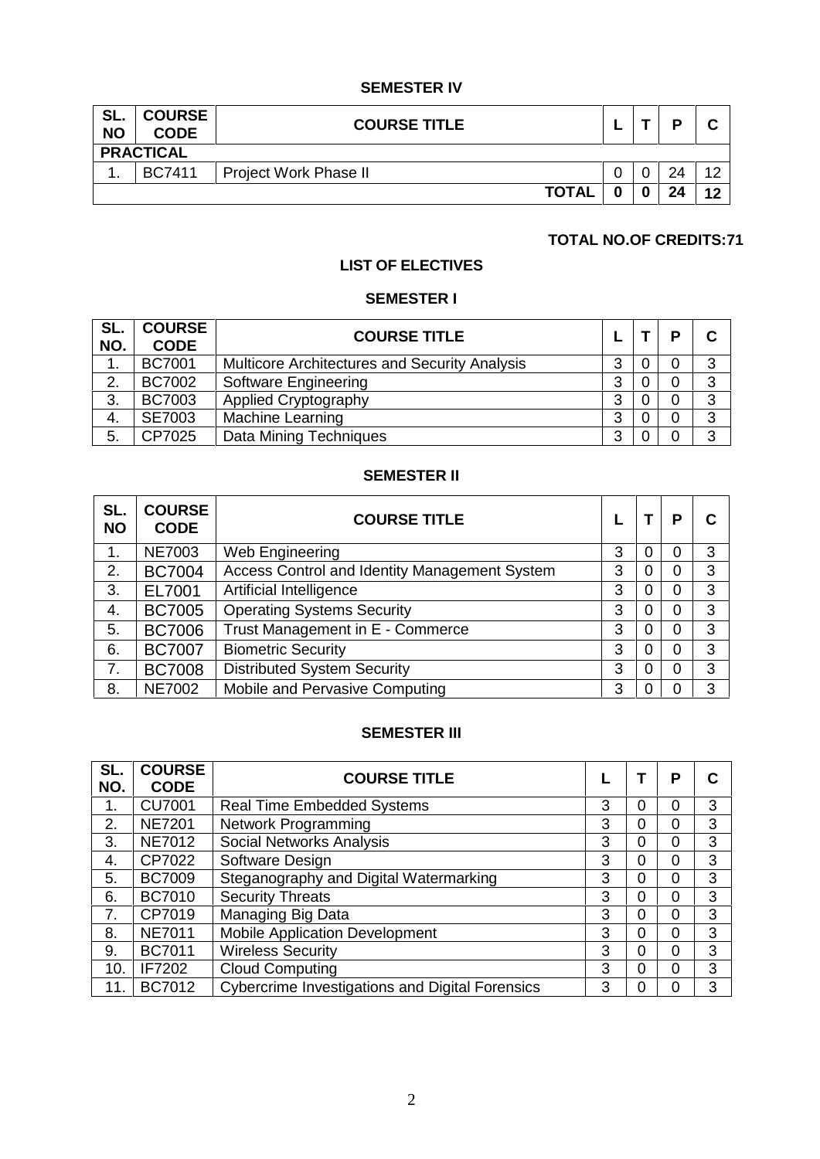### **SEMESTER IV**

| SL.<br><b>NO</b> | <b>COURSE</b><br><b>CODE</b> | <b>COURSE TITLE</b>   |  |  | D  |    |  |
|------------------|------------------------------|-----------------------|--|--|----|----|--|
| <b>PRACTICAL</b> |                              |                       |  |  |    |    |  |
| . .              | <b>BC7411</b>                | Project Work Phase II |  |  | 24 | 12 |  |
|                  |                              | <b>TOTAL</b>          |  |  | 24 | 12 |  |

## **TOTAL NO.OF CREDITS:71**

# **LIST OF ELECTIVES**

### **SEMESTER I**

| SL.<br>NO. | <b>COURSE</b><br><b>CODE</b> | <b>COURSE TITLE</b>                                  |   | D | C |
|------------|------------------------------|------------------------------------------------------|---|---|---|
| ι.         | <b>BC7001</b>                | <b>Multicore Architectures and Security Analysis</b> | 3 |   | 3 |
| 2.         | <b>BC7002</b>                | <b>Software Engineering</b>                          | 3 | 0 | 3 |
| 3.         | <b>BC7003</b>                | <b>Applied Cryptography</b>                          | 3 |   | 3 |
| -4.        | <b>SE7003</b>                | Machine Learning                                     | 3 | 0 | 3 |
| 5.         | CP7025                       | Data Mining Techniques                               | 3 |   | 3 |

### **SEMESTER II**

| SL.<br><b>NO</b> | <b>COURSE</b><br><b>CODE</b> | <b>COURSE TITLE</b>                           |   |   | Р | C |
|------------------|------------------------------|-----------------------------------------------|---|---|---|---|
| 1.               | <b>NE7003</b>                | Web Engineering                               | 3 | 0 | 0 | 3 |
| 2.               | <b>BC7004</b>                | Access Control and Identity Management System | 3 |   | 0 | 3 |
| 3.               | EL7001                       | Artificial Intelligence                       | 3 | 0 | 0 | 3 |
| 4.               | <b>BC7005</b>                | <b>Operating Systems Security</b>             | 3 | 0 | 0 | 3 |
| 5.               | <b>BC7006</b>                | Trust Management in E - Commerce              | 3 | 0 | 0 | 3 |
| 6.               | <b>BC7007</b>                | <b>Biometric Security</b>                     | 3 | 0 | 0 | 3 |
| 7.               | <b>BC7008</b>                | <b>Distributed System Security</b>            | 3 | 0 | 0 | 3 |
| 8.               | <b>NE7002</b>                | Mobile and Pervasive Computing                | 3 |   | 0 | 3 |

## **SEMESTER III**

| SL.<br>NO. | <b>COURSE</b><br><b>CODE</b> | <b>COURSE TITLE</b>                             |   |   | P        | С |
|------------|------------------------------|-------------------------------------------------|---|---|----------|---|
| 1.         | <b>CU7001</b>                | <b>Real Time Embedded Systems</b>               | 3 | 0 | $\Omega$ | 3 |
| 2.         | <b>NE7201</b>                | <b>Network Programming</b>                      | 3 | 0 | $\Omega$ | 3 |
| 3.         | <b>NE7012</b>                | Social Networks Analysis                        | 3 | 0 | 0        | 3 |
| 4.         | CP7022                       | Software Design                                 | 3 | 0 | $\Omega$ | 3 |
| 5.         | <b>BC7009</b>                | Steganography and Digital Watermarking          | 3 | 0 | $\Omega$ | 3 |
| 6.         | <b>BC7010</b>                | <b>Security Threats</b>                         | 3 | 0 | $\Omega$ | 3 |
| 7.         | CP7019                       | Managing Big Data                               | 3 | 0 | $\Omega$ | 3 |
| 8.         | <b>NE7011</b>                | <b>Mobile Application Development</b>           | 3 | 0 | $\Omega$ | 3 |
| 9.         | <b>BC7011</b>                | <b>Wireless Security</b>                        | 3 | 0 | $\Omega$ | 3 |
| 10.        | IF7202                       | <b>Cloud Computing</b>                          | 3 | 0 | $\Omega$ | 3 |
| 11         | <b>BC7012</b>                | Cybercrime Investigations and Digital Forensics | 3 | 0 | $\Omega$ | 3 |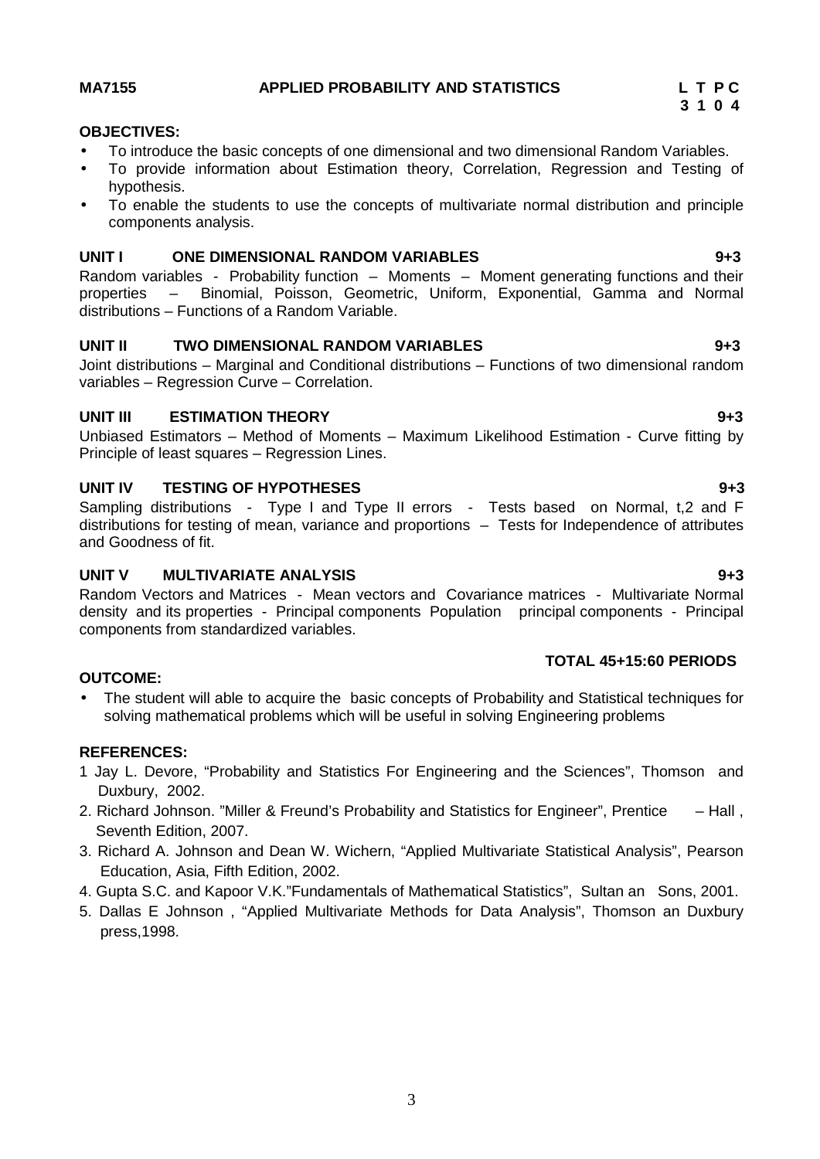### **MA7155 APPLIED PROBABILITY AND STATISTICS L T P C**

### **OBJECTIVES:**

- To introduce the basic concepts of one dimensional and two dimensional Random Variables.
- To provide information about Estimation theory, Correlation, Regression and Testing of hypothesis.
- To enable the students to use the concepts of multivariate normal distribution and principle components analysis.

### **UNIT I ONE DIMENSIONAL RANDOM VARIABLES 9+3**

Random variables - Probability function – Moments – Moment generating functions and their properties – Binomial, Poisson, Geometric, Uniform, Exponential, Gamma and Normal distributions – Functions of a Random Variable.

### **UNIT II TWO DIMENSIONAL RANDOM VARIABLES 9+3**

Joint distributions – Marginal and Conditional distributions – Functions of two dimensional random variables – Regression Curve – Correlation.

### **UNIT III ESTIMATION THEORY 9+3**

Unbiased Estimators – Method of Moments – Maximum Likelihood Estimation - Curve fitting by Principle of least squares – Regression Lines.

### **UNIT IV TESTING OF HYPOTHESES 9+3**

Sampling distributions - Type I and Type II errors - Tests based on Normal, t,2 and F distributions for testing of mean, variance and proportions – Tests for Independence of attributes and Goodness of fit.

### **UNIT V MULTIVARIATE ANALYSIS 9+3**

Random Vectors and Matrices - Mean vectors and Covariance matrices - Multivariate Normal density and its properties - Principal components Population principal components - Principal components from standardized variables.

### **TOTAL 45+15:60 PERIODS**

### **OUTCOME:**

 The student will able to acquire the basic concepts of Probability and Statistical techniques for solving mathematical problems which will be useful in solving Engineering problems

### **REFERENCES:**

- 1 Jay L. Devore, "Probability and Statistics For Engineering and the Sciences", Thomson and Duxbury, 2002.
- 2. Richard Johnson. "Miller & Freund's Probability and Statistics for Engineer", Prentice Hall , Seventh Edition, 2007.
- 3. Richard A. Johnson and Dean W. Wichern, "Applied Multivariate Statistical Analysis", Pearson Education, Asia, Fifth Edition, 2002.
- 4. Gupta S.C. and Kapoor V.K."Fundamentals of Mathematical Statistics", Sultan an Sons, 2001.
- 5. Dallas E Johnson , "Applied Multivariate Methods for Data Analysis", Thomson an Duxbury press,1998.

# **3 1 0 4**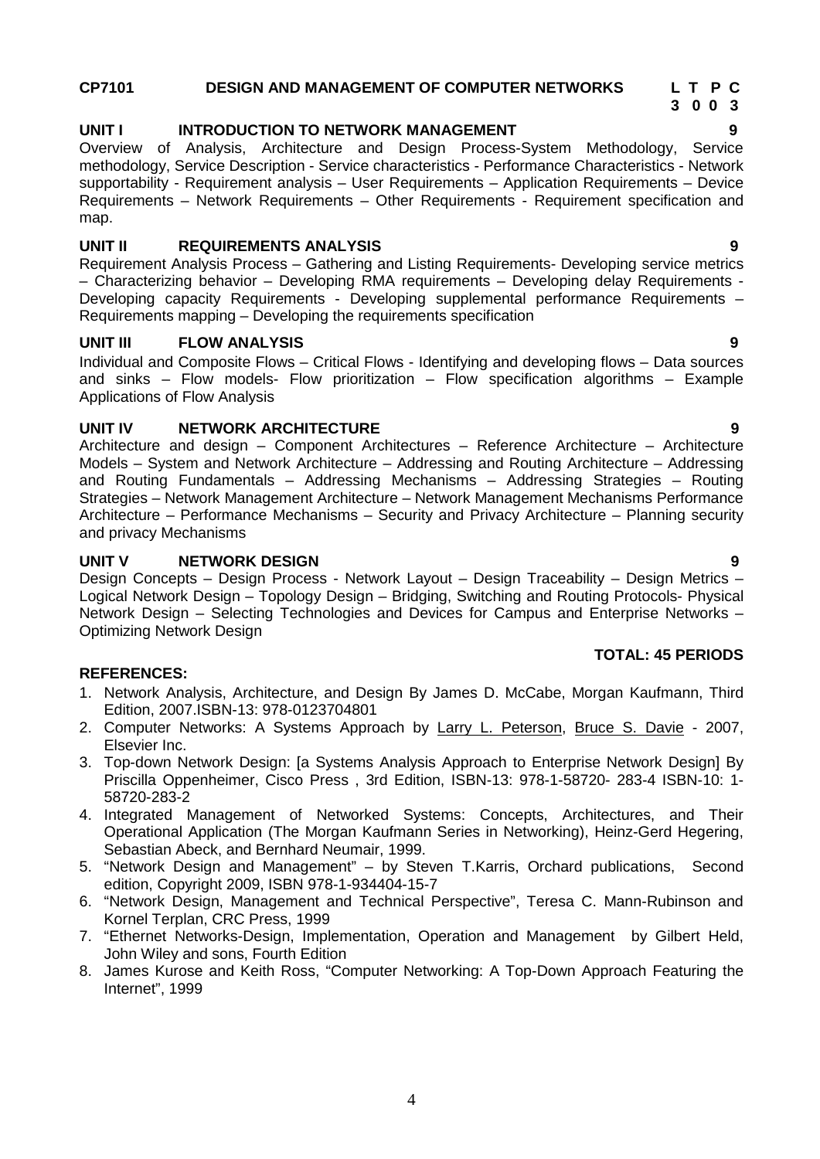### **CP7101 DESIGN AND MANAGEMENT OF COMPUTER NETWORKS L T P C**

### **UNIT I INTRODUCTION TO NETWORK MANAGEMENT 9**

Overview of Analysis, Architecture and Design Process-System Methodology, Service methodology, Service Description - Service characteristics - Performance Characteristics - Network supportability - Requirement analysis – User Requirements – Application Requirements – Device Requirements – Network Requirements – Other Requirements - Requirement specification and map.

### **UNIT II REQUIREMENTS ANALYSIS 9**

Requirement Analysis Process – Gathering and Listing Requirements- Developing service metrics – Characterizing behavior – Developing RMA requirements – Developing delay Requirements - Developing capacity Requirements - Developing supplemental performance Requirements – Requirements mapping – Developing the requirements specification

### **UNIT III FLOW ANALYSIS 9**

Individual and Composite Flows – Critical Flows - Identifying and developing flows – Data sources and sinks – Flow models- Flow prioritization – Flow specification algorithms – Example Applications of Flow Analysis

### **UNIT IV NETWORK ARCHITECTURE 9**

Architecture and design – Component Architectures – Reference Architecture – Architecture Models – System and Network Architecture – Addressing and Routing Architecture – Addressing and Routing Fundamentals – Addressing Mechanisms – Addressing Strategies – Routing Strategies – Network Management Architecture – Network Management Mechanisms Performance Architecture – Performance Mechanisms – Security and Privacy Architecture – Planning security and privacy Mechanisms

### **UNIT V NETWORK DESIGN 9**

Design Concepts – Design Process - Network Layout – Design Traceability – Design Metrics – Logical Network Design – Topology Design – Bridging, Switching and Routing Protocols- Physical Network Design – Selecting Technologies and Devices for Campus and Enterprise Networks – Optimizing Network Design

### **REFERENCES:**

- 1. Network Analysis, Architecture, and Design By James D. McCabe, Morgan Kaufmann, Third Edition, 2007.ISBN-13: 978-0123704801
- 2. Computer Networks: A Systems Approach by Larry L. Peterson, Bruce S. Davie 2007, Elsevier Inc.
- 3. Top-down Network Design: [a Systems Analysis Approach to Enterprise Network Design] By Priscilla Oppenheimer, Cisco Press , 3rd Edition, ISBN-13: 978-1-58720- 283-4 ISBN-10: 1- 58720-283-2
- 4. Integrated Management of Networked Systems: Concepts, Architectures, and Their Operational Application (The Morgan Kaufmann Series in Networking), Heinz-Gerd Hegering, Sebastian Abeck, and Bernhard Neumair, 1999.
- 5. "Network Design and Management" by Steven T.Karris, Orchard publications, Second edition, Copyright 2009, ISBN 978-1-934404-15-7
- 6. "Network Design, Management and Technical Perspective", Teresa C. Mann-Rubinson and Kornel Terplan, CRC Press, 1999
- 7. "Ethernet Networks-Design, Implementation, Operation and Management by Gilbert Held, John Wiley and sons, Fourth Edition
- 8. James Kurose and Keith Ross, "Computer Networking: A Top-Down Approach Featuring the Internet", 1999

**TOTAL: 45 PERIODS**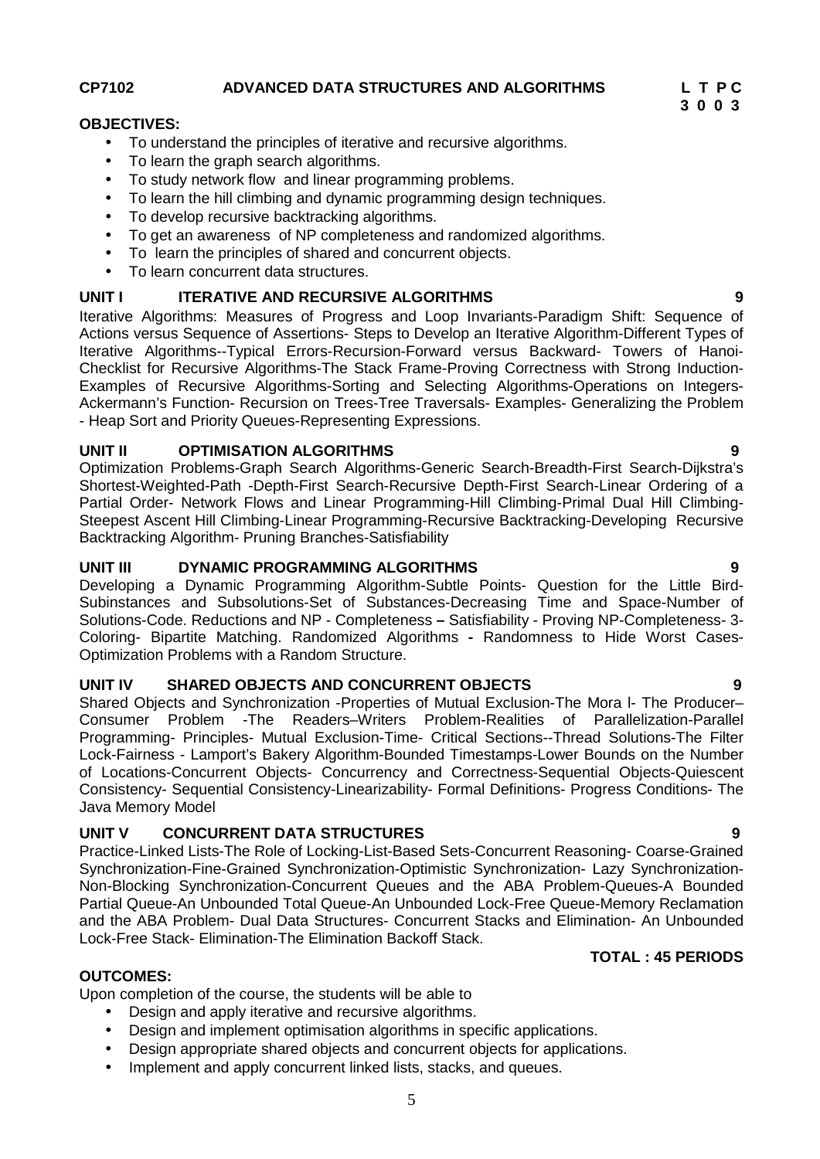**CP7102 ADVANCED DATA STRUCTURES AND ALGORITHMS L T P C**

### **OBJECTIVES:**

- To understand the principles of iterative and recursive algorithms.
- To learn the graph search algorithms.
- To study network flow and linear programming problems.
- To learn the hill climbing and dynamic programming design techniques.
- To develop recursive backtracking algorithms.
- To get an awareness of NP completeness and randomized algorithms.
- To learn the principles of shared and concurrent objects.
- To learn concurrent data structures.

### **UNIT I ITERATIVE AND RECURSIVE ALGORITHMS 9**

Iterative Algorithms: Measures of Progress and Loop Invariants-Paradigm Shift: Sequence of Actions versus Sequence of Assertions- Steps to Develop an Iterative Algorithm-Different Types of Iterative Algorithms--Typical Errors-Recursion-Forward versus Backward- Towers of Hanoi- Checklist for Recursive Algorithms-The Stack Frame-Proving Correctness with Strong Induction- Examples of Recursive Algorithms-Sorting and Selecting Algorithms-Operations on Integers- Ackermann's Function- Recursion on Trees-Tree Traversals- Examples- Generalizing the Problem - Heap Sort and Priority Queues-Representing Expressions.

### **UNIT II OPTIMISATION ALGORITHMS 9**

Optimization Problems-Graph Search Algorithms-Generic Search-Breadth-First Search-Dijkstra's Shortest-Weighted-Path -Depth-First Search-Recursive Depth-First Search-Linear Ordering of a Partial Order- Network Flows and Linear Programming-Hill Climbing-Primal Dual Hill Climbing- Steepest Ascent Hill Climbing-Linear Programming-Recursive Backtracking-Developing Recursive Backtracking Algorithm- Pruning Branches-Satisfiability

### **UNIT III DYNAMIC PROGRAMMING ALGORITHMS 9**

Developing a Dynamic Programming Algorithm-Subtle Points- Question for the Little Bird- Subinstances and Subsolutions-Set of Substances-Decreasing Time and Space-Number of Solutions-Code. Reductions and NP - Completeness **–** Satisfiability - Proving NP-Completeness- 3- Coloring- Bipartite Matching. Randomized Algorithms **-** Randomness to Hide Worst Cases- Optimization Problems with a Random Structure.

### **UNIT IV SHARED OBJECTS AND CONCURRENT OBJECTS 9**

Shared Objects and Synchronization -Properties of Mutual Exclusion-The Mora l- The Producer– Consumer Problem -The Readers–Writers Problem-Realities of Parallelization-Parallel Programming- Principles- Mutual Exclusion-Time- Critical Sections--Thread Solutions-The Filter Lock-Fairness - Lamport's Bakery Algorithm-Bounded Timestamps-Lower Bounds on the Number of Locations-Concurrent Objects- Concurrency and Correctness-Sequential Objects-Quiescent Consistency- Sequential Consistency-Linearizability- Formal Definitions- Progress Conditions- The Java Memory Model

### **UNIT V CONCURRENT DATA STRUCTURES 9**

Practice-Linked Lists-The Role of Locking-List-Based Sets-Concurrent Reasoning- Coarse-Grained Synchronization-Fine-Grained Synchronization-Optimistic Synchronization- Lazy Synchronization- Non-Blocking Synchronization-Concurrent Queues and the ABA Problem-Queues-A Bounded Partial Queue-An Unbounded Total Queue-An Unbounded Lock-Free Queue-Memory Reclamation and the ABA Problem- Dual Data Structures- Concurrent Stacks and Elimination- An Unbounded Lock-Free Stack- Elimination-The Elimination Backoff Stack.

### **TOTAL : 45 PERIODS**

### **OUTCOMES:**

Upon completion of the course, the students will be able to

- Design and apply iterative and recursive algorithms.
- Design and implement optimisation algorithms in specific applications.
- Design appropriate shared objects and concurrent objects for applications.
- Implement and apply concurrent linked lists, stacks, and queues.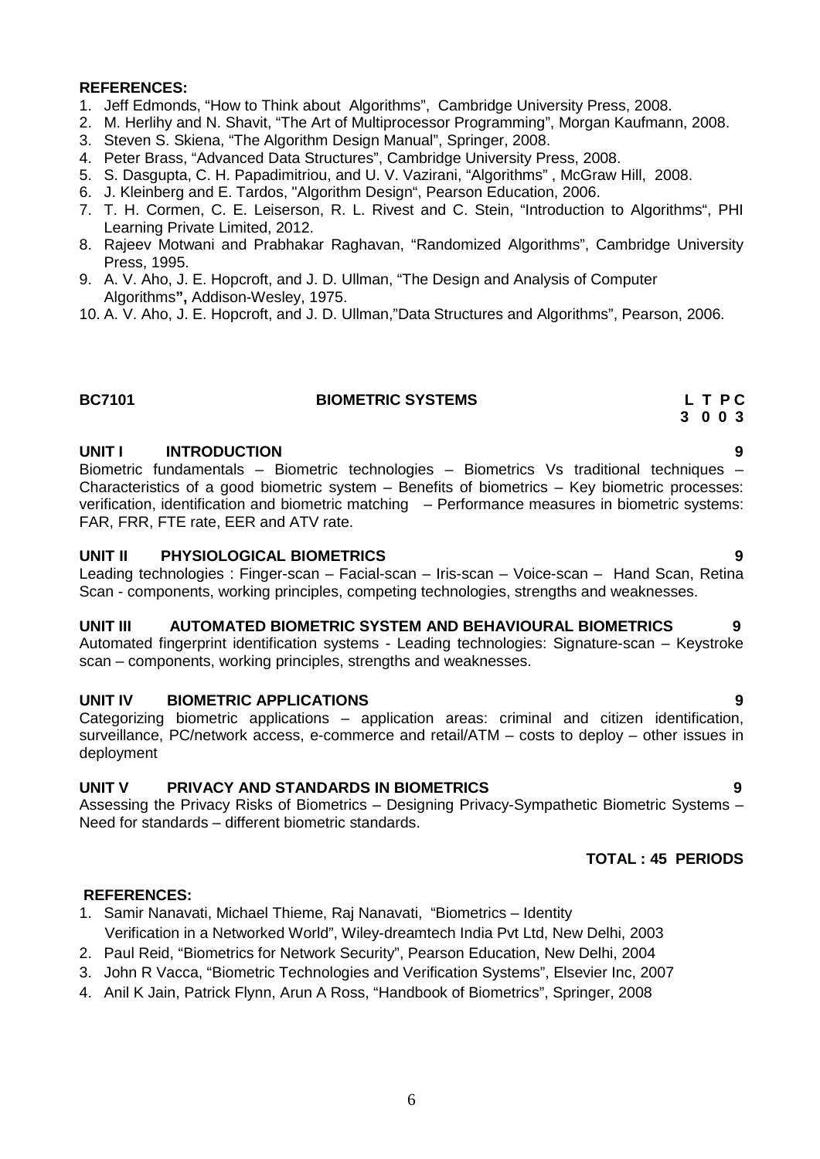### **REFERENCES:**

- 1. Jeff Edmonds, "How to Think about Algorithms", Cambridge University Press, 2008.
- 2. M. Herlihy and N. Shavit, "The Art of Multiprocessor Programming", Morgan Kaufmann, 2008.
- 3. Steven S. Skiena, "The Algorithm Design Manual", Springer, 2008.
- 4. Peter Brass, "Advanced Data Structures", Cambridge University Press, 2008.
- 5. S. Dasgupta, C. H. Papadimitriou, and U. V. Vazirani, "Algorithms" , McGraw Hill, 2008.
- 6. J. Kleinberg and E. Tardos, "Algorithm Design", Pearson Education, 2006.
- 7. T. H. Cormen, C. E. Leiserson, R. L. Rivest and C. Stein, "Introduction to Algorithms", PHI Learning Private Limited, 2012.
- 8. Rajeev Motwani and Prabhakar Raghavan, "Randomized Algorithms", Cambridge University Press, 1995.
- 9. A. V. Aho, J. E. Hopcroft, and J. D. Ullman, "The Design and Analysis of Computer Algorithms**",** Addison-Wesley, 1975.
- 10. A. V. Aho, J. E. Hopcroft, and J. D. Ullman,"Data Structures and Algorithms", Pearson, 2006.

### **BC7101 BIOMETRIC SYSTEMS L T P C**

### **UNIT I INTRODUCTION 9**

Biometric fundamentals – Biometric technologies – Biometrics Vs traditional techniques – Characteristics of a good biometric system – Benefits of biometrics – Key biometric processes: verification, identification and biometric matching – Performance measures in biometric systems: FAR, FRR, FTE rate, EER and ATV rate.

### **UNIT II PHYSIOLOGICAL BIOMETRICS 9**

Leading technologies : Finger-scan – Facial-scan – Iris-scan – Voice-scan – Hand Scan, Retina Scan - components, working principles, competing technologies, strengths and weaknesses.

### **UNIT III AUTOMATED BIOMETRIC SYSTEM AND BEHAVIOURAL BIOMETRICS 9**

Automated fingerprint identification systems - Leading technologies: Signature-scan – Keystroke scan – components, working principles, strengths and weaknesses.

### **UNIT IV BIOMETRIC APPLICATIONS 9**

Categorizing biometric applications – application areas: criminal and citizen identification, surveillance, PC/network access, e-commerce and retail/ATM – costs to deploy – other issues in deployment

### **UNIT V PRIVACY AND STANDARDS IN BIOMETRICS 9**

Assessing the Privacy Risks of Biometrics – Designing Privacy-Sympathetic Biometric Systems – Need for standards – different biometric standards.

### **TOTAL : 45 PERIODS**

### **REFERENCES:**

- 1. Samir Nanavati, Michael Thieme, Raj Nanavati, "Biometrics Identity Verification in a Networked World", Wiley-dreamtech India Pvt Ltd, New Delhi, 2003
- 2. Paul Reid, "Biometrics for Network Security", Pearson Education, New Delhi, 2004
- 3. John R Vacca, "Biometric Technologies and Verification Systems", Elsevier Inc, 2007
- 4. Anil K Jain, Patrick Flynn, Arun A Ross, "Handbook of Biometrics", Springer, 2008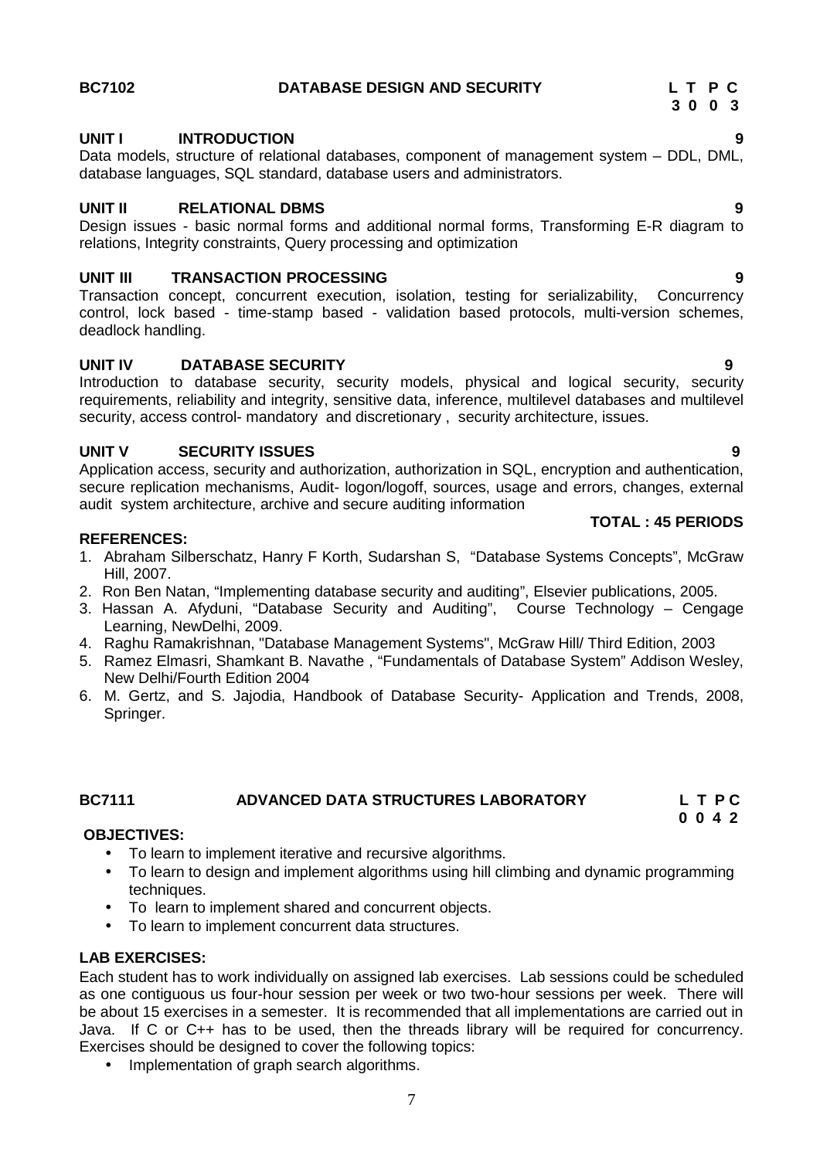### **BC7102 DATABASE DESIGN AND SECURITY L T P C**

# **UNIT I INTRODUCTION 9**

Data models, structure of relational databases, component of management system – DDL, DML, database languages, SQL standard, database users and administrators.

### **UNIT II RELATIONAL DBMS 9**

Design issues - basic normal forms and additional normal forms, Transforming E-R diagram to relations, Integrity constraints, Query processing and optimization

**UNIT III TRANSACTION PROCESSING**<br> **Transaction concept. concurrent execution. isolation. testing for serializability. Concurrency** Transaction concept, concurrent execution, isolation, testing for serializability, control, lock based - time-stamp based - validation based protocols, multi-version schemes, deadlock handling.

### **UNIT IV DATABASE SECURITY 9**

Introduction to database security, security models, physical and logical security, security requirements, reliability and integrity, sensitive data, inference, multilevel databases and multilevel security, access control- mandatory and discretionary, security architecture, issues.

### **UNIT V SECURITY ISSUES 9**

Application access, security and authorization, authorization in SQL, encryption and authentication, secure replication mechanisms, Audit- logon/logoff, sources, usage and errors, changes, external audit system architecture, archive and secure auditing information

### **REFERENCES:**

- 1. Abraham Silberschatz, Hanry F Korth, Sudarshan S, "Database Systems Concepts", McGraw Hill, 2007.
- 2. Ron Ben Natan, "Implementing database security and auditing", Elsevier publications, 2005.
- 3. Hassan A. Afyduni, "Database Security and Auditing", Course Technology Cengage Learning, NewDelhi, 2009.
- 4. Raghu Ramakrishnan, "Database Management Systems", McGraw Hill/ Third Edition, 2003
- 5. Ramez Elmasri, Shamkant B. Navathe , "Fundamentals of Database System" Addison Wesley, New Delhi/Fourth Edition 2004
- 6. M. Gertz, and S. Jajodia, Handbook of Database Security- Application and Trends, 2008, Springer.

## **BC7111 ADVANCED DATA STRUCTURES LABORATORY L T P C**

### **OBJECTIVES:**

- To learn to implement iterative and recursive algorithms.
- To learn to design and implement algorithms using hill climbing and dynamic programming techniques.
- To learn to implement shared and concurrent objects.
- To learn to implement concurrent data structures.

### **LAB EXERCISES:**

Each student has to work individually on assigned lab exercises. Lab sessions could be scheduled as one contiguous us four-hour session per week or two two-hour sessions per week. There will be about 15 exercises in a semester. It is recommended that all implementations are carried out in Java. If C or C++ has to be used, then the threads library will be required for concurrency. Exercises should be designed to cover the following topics:

• Implementation of graph search algorithms.

**3 0 0 3**

### **TOTAL : 45 PERIODS**

# **0 0 4 2**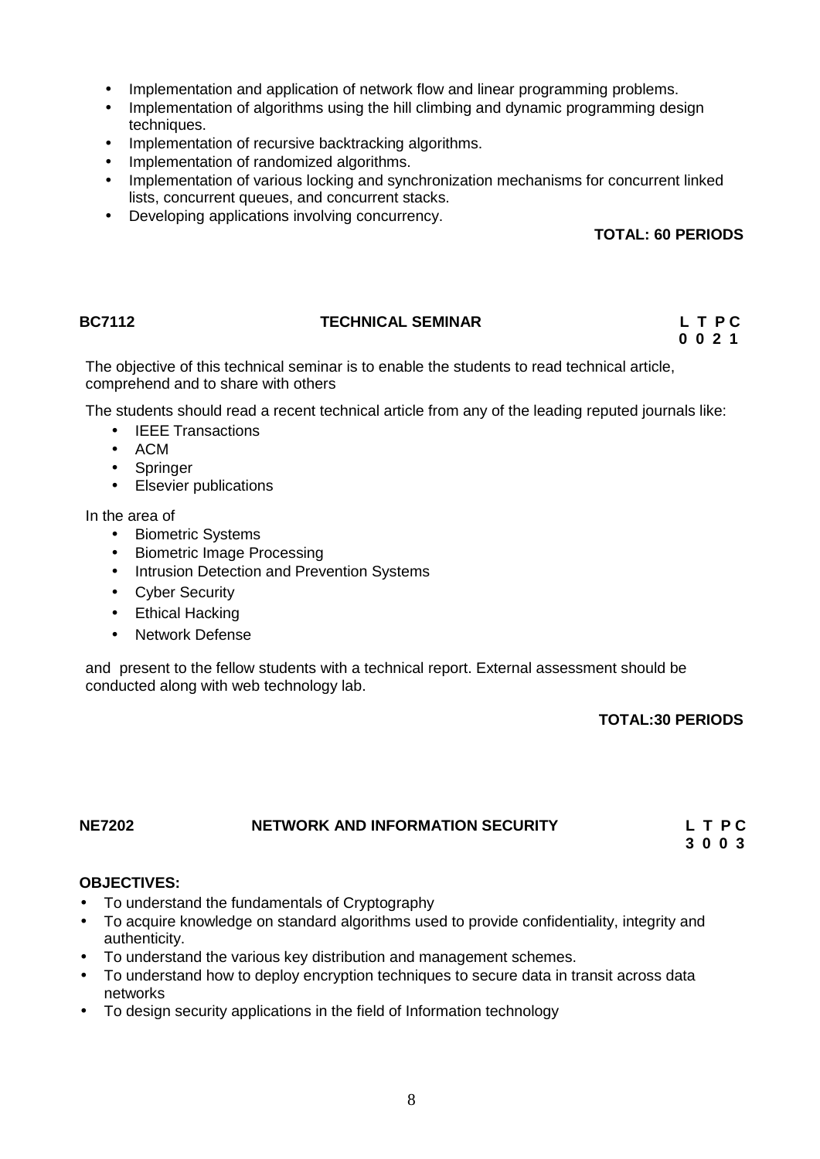- Implementation and application of network flow and linear programming problems.
- Implementation of algorithms using the hill climbing and dynamic programming design techniques.
- Implementation of recursive backtracking algorithms.
- Implementation of randomized algorithms.
- Implementation of various locking and synchronization mechanisms for concurrent linked lists, concurrent queues, and concurrent stacks.
- Developing applications involving concurrency.

### **TOTAL: 60 PERIODS**

### **BC7112 TECHNICAL SEMINAR L T P C**

# **0 0 2 1**

The objective of this technical seminar is to enable the students to read technical article, comprehend and to share with others

The students should read a recent technical article from any of the leading reputed journals like:

- IEEE Transactions
- $\bullet$  ACM
- **Springer**
- Elsevier publications

In the area of

- Biometric Systems
- Biometric Image Processing
- Intrusion Detection and Prevention Systems
- Cyber Security
- Ethical Hacking
- Network Defense

and present to the fellow students with a technical report. External assessment should be conducted along with web technology lab.

### **TOTAL:30 PERIODS**

# **NE7202 NETWORK AND INFORMATION SECURITY L T P C**

**3 0 0 3**

### **OBJECTIVES:**

- To understand the fundamentals of Cryptography
- To acquire knowledge on standard algorithms used to provide confidentiality, integrity and authenticity.
- To understand the various key distribution and management schemes.
- To understand how to deploy encryption techniques to secure data in transit across data networks
- To design security applications in the field of Information technology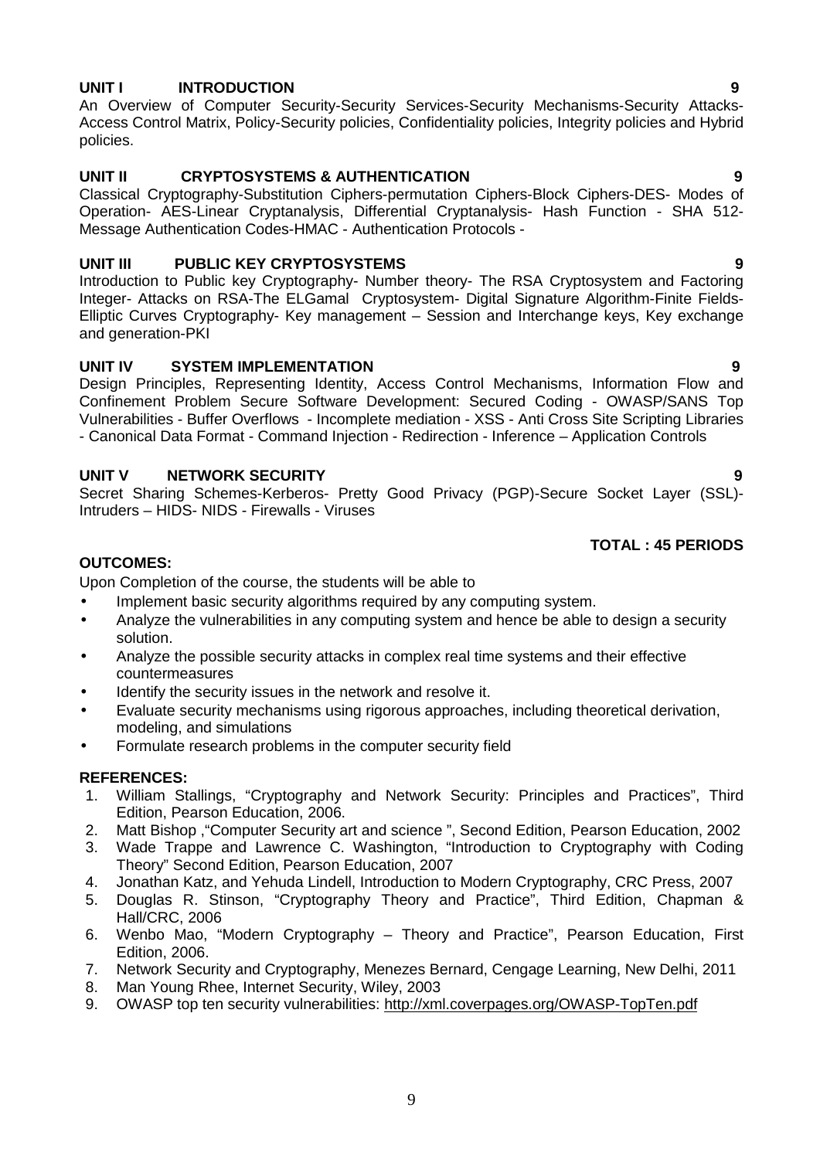### **UNIT I INTRODUCTION 9**

An Overview of Computer Security-Security Services-Security Mechanisms-Security Attacks- Access Control Matrix, Policy-Security policies, Confidentiality policies, Integrity policies and Hybrid policies.

### **UNIT II CRYPTOSYSTEMS & AUTHENTICATION 9**

Classical Cryptography-Substitution Ciphers-permutation Ciphers-Block Ciphers-DES- Modes of Operation- AES-Linear Cryptanalysis, Differential Cryptanalysis- Hash Function - SHA 512- Message Authentication Codes-HMAC - Authentication Protocols -

### **UNIT III PUBLIC KEY CRYPTOSYSTEMS 9**

Introduction to Public key Cryptography- Number theory- The RSA Cryptosystem and Factoring Integer- Attacks on RSA-The ELGamal Cryptosystem- Digital Signature Algorithm-Finite Fields- Elliptic Curves Cryptography- Key management – Session and Interchange keys, Key exchange and generation-PKI

### **UNIT IV SYSTEM IMPLEMENTATION 9**

Design Principles, Representing Identity, Access Control Mechanisms, Information Flow and Confinement Problem Secure Software Development: Secured Coding - OWASP/SANS Top Vulnerabilities - Buffer Overflows - Incomplete mediation - XSS - Anti Cross Site Scripting Libraries - Canonical Data Format - Command Injection - Redirection - Inference – Application Controls

### **UNIT V NETWORK SECURITY 9**

Secret Sharing Schemes-Kerberos- Pretty Good Privacy (PGP)-Secure Socket Layer (SSL)- Intruders – HIDS- NIDS - Firewalls - Viruses

### **TOTAL : 45 PERIODS**

### **OUTCOMES:**

Upon Completion of the course, the students will be able to

- Implement basic security algorithms required by any computing system.
- Analyze the vulnerabilities in any computing system and hence be able to design a security solution.
- Analyze the possible security attacks in complex real time systems and their effective countermeasures
- Identify the security issues in the network and resolve it.
- Evaluate security mechanisms using rigorous approaches, including theoretical derivation, modeling, and simulations
- Formulate research problems in the computer security field

### **REFERENCES:**

- 1. William Stallings, "Cryptography and Network Security: Principles and Practices", Third Edition, Pearson Education, 2006.
- 2. Matt Bishop ,"Computer Security art and science ", Second Edition, Pearson Education, 2002
- 3. Wade Trappe and Lawrence C. Washington, "Introduction to Cryptography with Coding Theory" Second Edition, Pearson Education, 2007
- 4. Jonathan Katz, and Yehuda Lindell, Introduction to Modern Cryptography, CRC Press, 2007
- 5. Douglas R. Stinson, "Cryptography Theory and Practice", Third Edition, Chapman & Hall/CRC, 2006
- 6. Wenbo Mao, "Modern Cryptography Theory and Practice", Pearson Education, First Edition, 2006.
- 7. Network Security and Cryptography, Menezes Bernard, Cengage Learning, New Delhi, 2011
- 8. Man Young Rhee, Internet Security, Wiley, 2003
- 9. OWASP top ten security vulnerabilities: http://xml.coverpages.org/OWASP-TopTen.pdf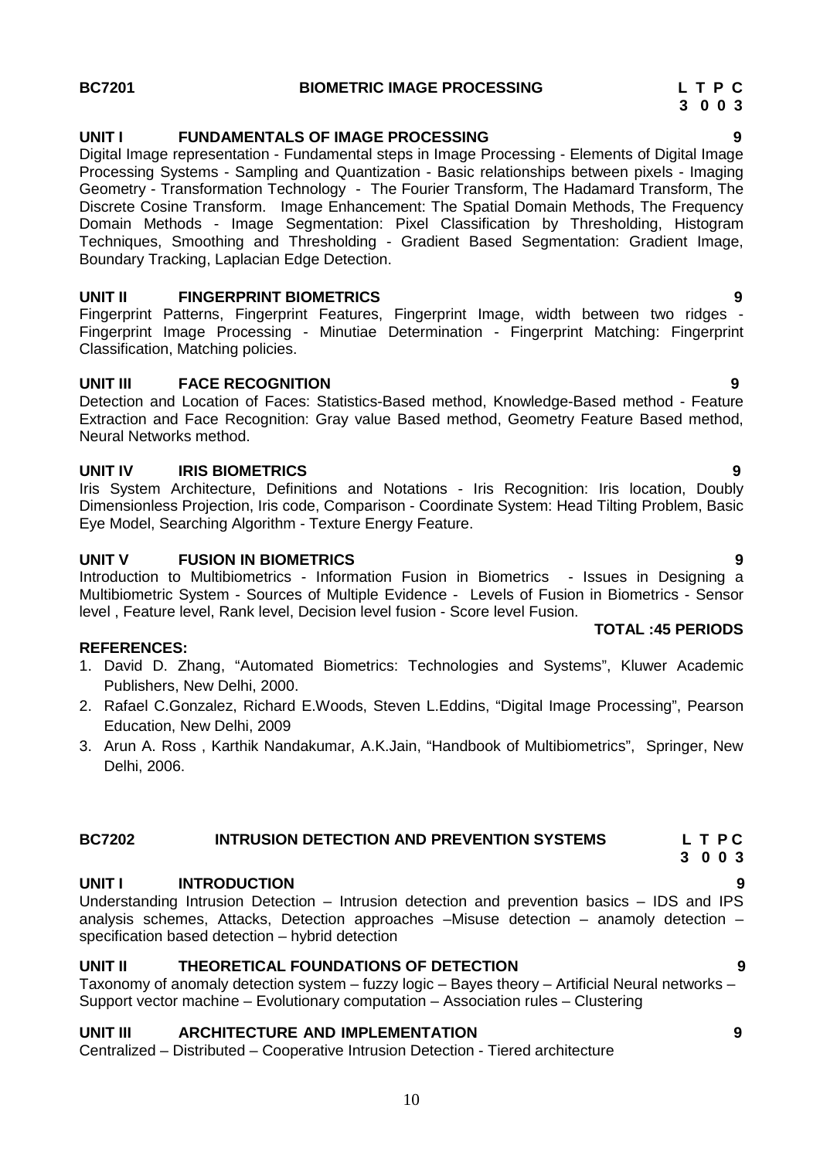### **UNIT I FUNDAMENTALS OF IMAGE PROCESSING 9**

Digital Image representation - Fundamental steps in Image Processing - Elements of Digital Image Processing Systems - Sampling and Quantization - Basic relationships between pixels - Imaging Geometry - Transformation Technology - The Fourier Transform, The Hadamard Transform, The Discrete Cosine Transform. Image Enhancement: The Spatial Domain Methods, The Frequency Domain Methods - Image Segmentation: Pixel Classification by Thresholding, Histogram Techniques, Smoothing and Thresholding - Gradient Based Segmentation: Gradient Image, Boundary Tracking, Laplacian Edge Detection.

### **UNIT II FINGERPRINT BIOMETRICS 9**

Fingerprint Patterns, Fingerprint Features, Fingerprint Image, width between two ridges - Fingerprint Image Processing - Minutiae Determination - Fingerprint Matching: Fingerprint Classification, Matching policies.

### **UNIT III FACE RECOGNITION 9**

Detection and Location of Faces: Statistics-Based method, Knowledge-Based method - Feature Extraction and Face Recognition: Gray value Based method, Geometry Feature Based method, Neural Networks method.

### **UNIT IV IRIS BIOMETRICS 9**

Iris System Architecture, Definitions and Notations - Iris Recognition: Iris location, Doubly Dimensionless Projection, Iris code, Comparison - Coordinate System: Head Tilting Problem, Basic Eye Model, Searching Algorithm - Texture Energy Feature.

### **UNIT V FUSION IN BIOMETRICS 9**

Introduction to Multibiometrics - Information Fusion in Biometrics - Issues in Designing a Multibiometric System - Sources of Multiple Evidence - Levels of Fusion in Biometrics - Sensor level , Feature level, Rank level, Decision level fusion - Score level Fusion.

### **REFERENCES:**

- 1. David D. Zhang, "Automated Biometrics: Technologies and Systems", Kluwer Academic Publishers, New Delhi, 2000.
- 2. Rafael C.Gonzalez, Richard E.Woods, Steven L.Eddins, "Digital Image Processing", Pearson Education, New Delhi, 2009
- 3. Arun A. Ross , Karthik Nandakumar, A.K.Jain, "Handbook of Multibiometrics", Springer, New Delhi, 2006.

## **BC7202 INTRUSION DETECTION AND PREVENTION SYSTEMS L T P C**

### **UNIT I INTRODUCTION 9**

Understanding Intrusion Detection – Intrusion detection and prevention basics – IDS and IPS analysis schemes, Attacks, Detection approaches –Misuse detection – anamoly detection – specification based detection – hybrid detection

### **UNIT II THEORETICAL FOUNDATIONS OF DETECTION 9**

Taxonomy of anomaly detection system – fuzzy logic – Bayes theory – Artificial Neural networks – Support vector machine – Evolutionary computation – Association rules – Clustering

### **UNIT III ARCHITECTURE AND IMPLEMENTATION 9**

Centralized – Distributed – Cooperative Intrusion Detection - Tiered architecture

### **TOTAL :45 PERIODS**

- **3 0 0 3**
	-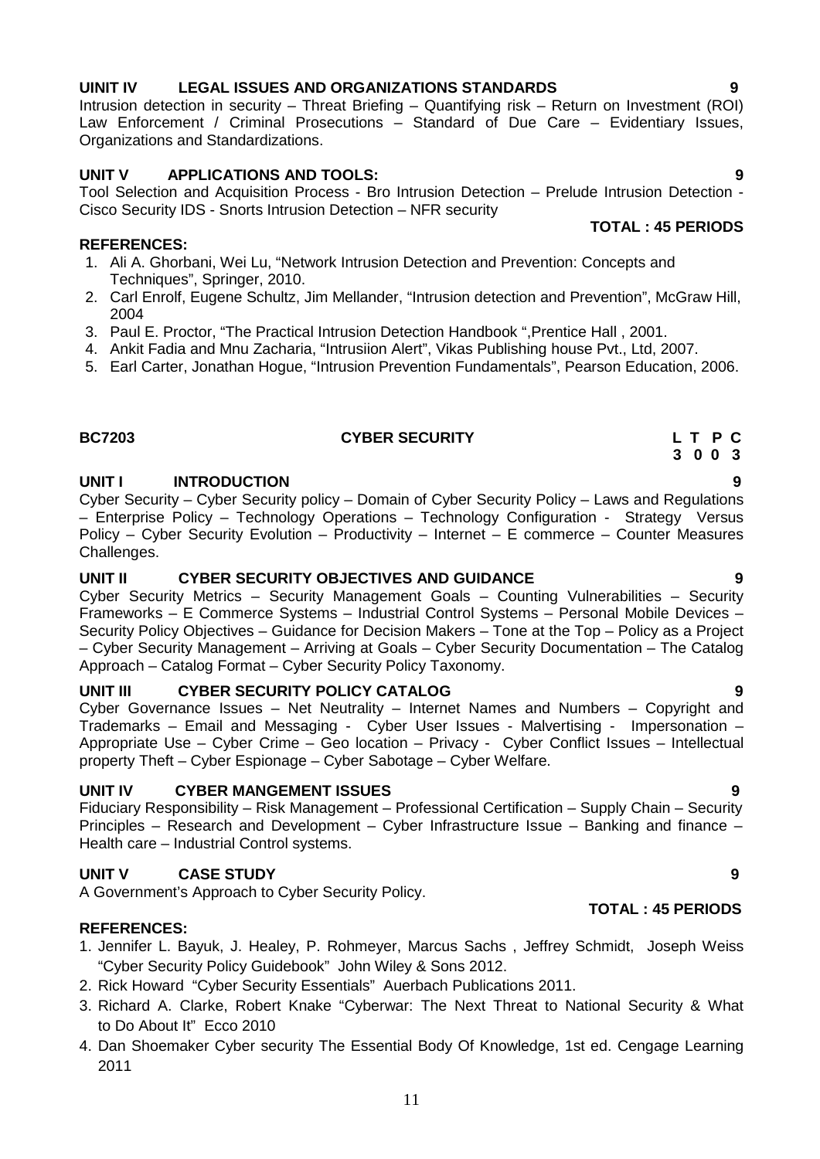### **UINIT IV LEGAL ISSUES AND ORGANIZATIONS STANDARDS 9** Intrusion detection in security – Threat Briefing – Quantifying risk – Return on Investment (ROI)

### **UNIT V APPLICATIONS AND TOOLS: 9**

Organizations and Standardizations.

Tool Selection and Acquisition Process - Bro Intrusion Detection – Prelude Intrusion Detection - Cisco Security IDS - Snorts Intrusion Detection – NFR security **TOTAL : 45 PERIODS**

Law Enforcement / Criminal Prosecutions – Standard of Due Care – Evidentiary Issues,

### **REFERENCES:**

- 1. Ali A. Ghorbani, Wei Lu, "Network Intrusion Detection and Prevention: Concepts and Techniques", Springer, 2010.
- 2. Carl Enrolf, Eugene Schultz, Jim Mellander, "Intrusion detection and Prevention", McGraw Hill, 2004
- 3. Paul E. Proctor, "The Practical Intrusion Detection Handbook ",Prentice Hall , 2001.
- 4. Ankit Fadia and Mnu Zacharia, "Intrusiion Alert", Vikas Publishing house Pvt., Ltd, 2007.
- 5. Earl Carter, Jonathan Hogue, "Intrusion Prevention Fundamentals", Pearson Education, 2006.

# **BC7203 CYBER SECURITY L T P C**

## **UNIT I INTRODUCTION 9**

Cyber Security – Cyber Security policy – Domain of Cyber Security Policy – Laws and Regulations – Enterprise Policy – Technology Operations – Technology Configuration - Strategy Versus Policy – Cyber Security Evolution – Productivity – Internet – E commerce – Counter Measures Challenges.

### **UNIT II CYBER SECURITY OBJECTIVES AND GUIDANCE 9**

Cyber Security Metrics – Security Management Goals – Counting Vulnerabilities – Security Frameworks – E Commerce Systems – Industrial Control Systems – Personal Mobile Devices – Security Policy Objectives – Guidance for Decision Makers – Tone at the Top – Policy as a Project – Cyber Security Management – Arriving at Goals – Cyber Security Documentation – The Catalog Approach – Catalog Format – Cyber Security Policy Taxonomy.

## **UNIT III CYBER SECURITY POLICY CATALOG 9**

Cyber Governance Issues – Net Neutrality – Internet Names and Numbers – Copyright and Trademarks – Email and Messaging - Cyber User Issues - Malvertising - Impersonation – Appropriate Use – Cyber Crime – Geo location – Privacy - Cyber Conflict Issues – Intellectual property Theft – Cyber Espionage – Cyber Sabotage – Cyber Welfare.

## **UNIT IV CYBER MANGEMENT ISSUES 9**

Fiduciary Responsibility – Risk Management – Professional Certification – Supply Chain – Security Principles – Research and Development – Cyber Infrastructure Issue – Banking and finance – Health care – Industrial Control systems.

# **UNIT V CASE STUDY 9**

A Government's Approach to Cyber Security Policy.

## **REFERENCES:**

- 1. Jennifer L. Bayuk, J. Healey, P. Rohmeyer, Marcus Sachs , Jeffrey Schmidt, Joseph Weiss "Cyber Security Policy Guidebook" John Wiley & Sons 2012.
- 2. Rick Howard "Cyber Security Essentials" Auerbach Publications 2011.
- 3. Richard A. Clarke, Robert Knake "Cyberwar: The Next Threat to National Security & What to Do About It" Ecco 2010
- 4. Dan Shoemaker Cyber security The Essential Body Of Knowledge, 1st ed. Cengage Learning 2011

**3 0 0 3**

**TOTAL : 45 PERIODS**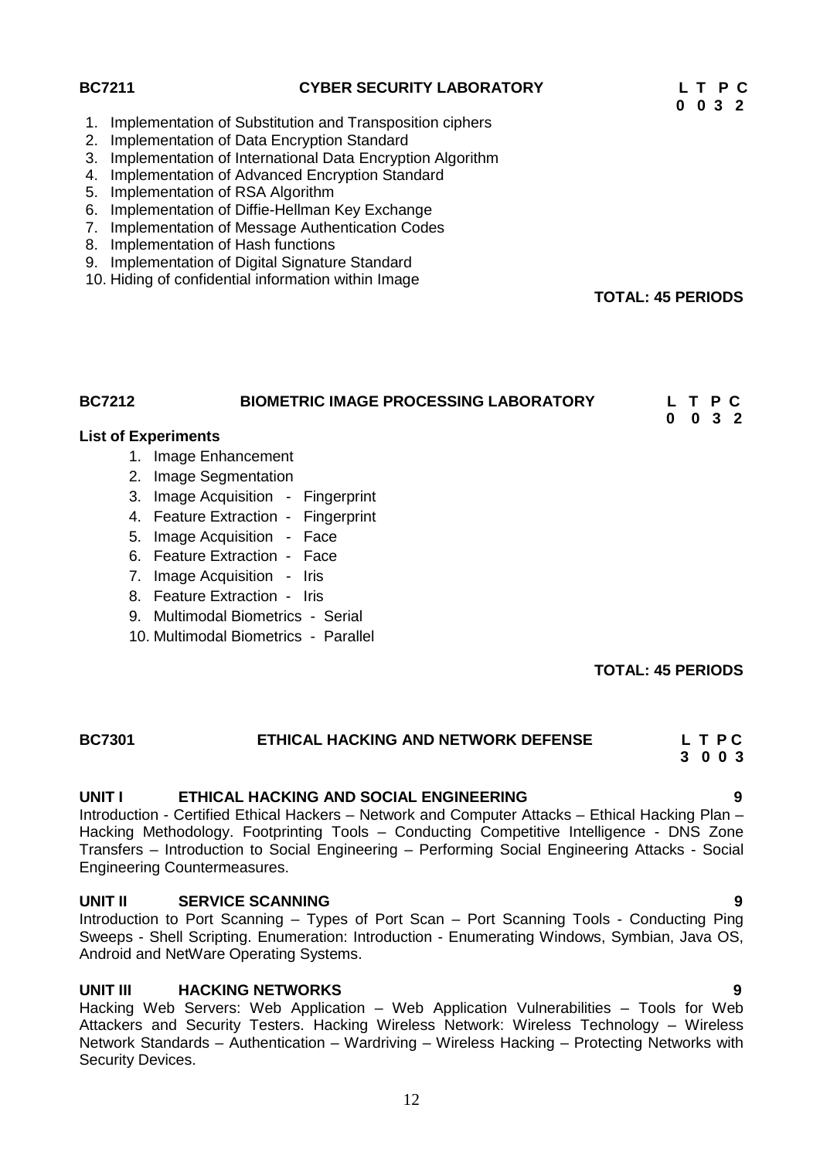| <b>BC7211</b>                    | <b>CYBER SECURITY LABORATORY</b>                                                                                                                                                                                                                                                                                                                                                                                                                         | P C<br>$0 \t0 \t3 \t2$                     |
|----------------------------------|----------------------------------------------------------------------------------------------------------------------------------------------------------------------------------------------------------------------------------------------------------------------------------------------------------------------------------------------------------------------------------------------------------------------------------------------------------|--------------------------------------------|
| 1.<br>2.<br>5.<br>6.<br>7.<br>8. | Implementation of Substitution and Transposition ciphers<br>Implementation of Data Encryption Standard<br>3. Implementation of International Data Encryption Algorithm<br>4. Implementation of Advanced Encryption Standard<br>Implementation of RSA Algorithm<br>Implementation of Diffie-Hellman Key Exchange<br>Implementation of Message Authentication Codes<br>Implementation of Hash functions<br>9. Implementation of Digital Signature Standard |                                            |
|                                  | 10. Hiding of confidential information within Image                                                                                                                                                                                                                                                                                                                                                                                                      | <b>TOTAL: 45 PERIODS</b>                   |
| <b>BC7212</b>                    | <b>BIOMETRIC IMAGE PROCESSING LABORATORY</b><br><b>List of Experiments</b>                                                                                                                                                                                                                                                                                                                                                                               | P C<br>$0 \quad 3 \quad 2$<br>$\mathbf{0}$ |
|                                  | 1. Image Enhancement                                                                                                                                                                                                                                                                                                                                                                                                                                     |                                            |
|                                  | 2. Image Segmentation                                                                                                                                                                                                                                                                                                                                                                                                                                    |                                            |
|                                  | 3. Image Acquisition - Fingerprint                                                                                                                                                                                                                                                                                                                                                                                                                       |                                            |
|                                  | 4. Feature Extraction - Fingerprint                                                                                                                                                                                                                                                                                                                                                                                                                      |                                            |
|                                  | 5. Image Acquisition - Face                                                                                                                                                                                                                                                                                                                                                                                                                              |                                            |
|                                  | 6. Feature Extraction - Face                                                                                                                                                                                                                                                                                                                                                                                                                             |                                            |
|                                  | 7. Image Acquisition - Iris                                                                                                                                                                                                                                                                                                                                                                                                                              |                                            |
|                                  | 8. Feature Extraction - Iris                                                                                                                                                                                                                                                                                                                                                                                                                             |                                            |
|                                  | 9. Multimodal Biometrics - Serial                                                                                                                                                                                                                                                                                                                                                                                                                        |                                            |
|                                  | 10. Multimodal Biometrics - Parallel                                                                                                                                                                                                                                                                                                                                                                                                                     |                                            |

### **TOTAL: 45 PERIODS**

| <b>BC7301</b> | ETHICAL HACKING AND NETWORK DEFENSE | LTPC    |  |
|---------------|-------------------------------------|---------|--|
|               |                                     | 3 0 0 3 |  |

### **UNIT I ETHICAL HACKING AND SOCIAL ENGINEERING 9**

Introduction - Certified Ethical Hackers – Network and Computer Attacks – Ethical Hacking Plan – Hacking Methodology. Footprinting Tools – Conducting Competitive Intelligence - DNS Zone Transfers – Introduction to Social Engineering – Performing Social Engineering Attacks - Social Engineering Countermeasures.

### **UNIT II SERVICE SCANNING 9**

Introduction to Port Scanning – Types of Port Scan – Port Scanning Tools - Conducting Ping Sweeps - Shell Scripting. Enumeration: Introduction - Enumerating Windows, Symbian, Java OS, Android and NetWare Operating Systems.

### **UNIT III HACKING NETWORKS 9**

Hacking Web Servers: Web Application – Web Application Vulnerabilities – Tools for Web Attackers and Security Testers. Hacking Wireless Network: Wireless Technology – Wireless Network Standards – Authentication – Wardriving – Wireless Hacking – Protecting Networks with Security Devices.

12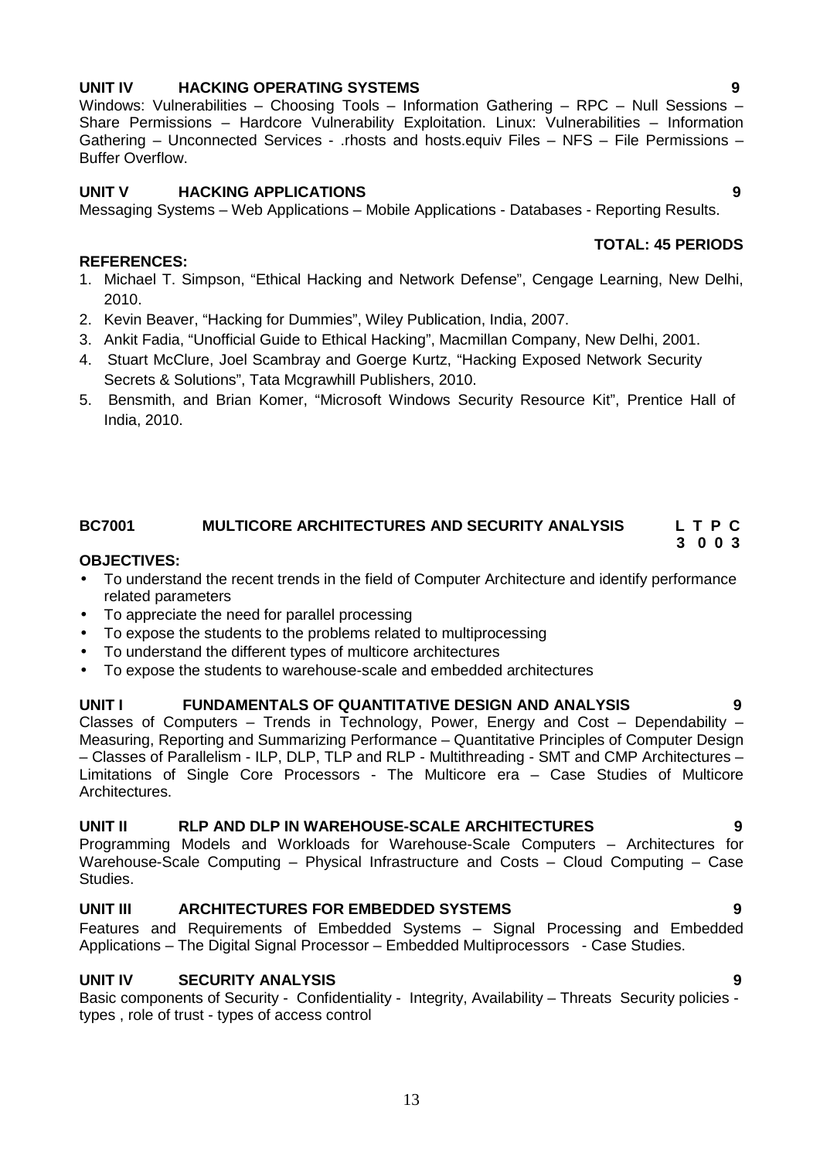### **UNIT IV HACKING OPERATING SYSTEMS 9** Windows: Vulnerabilities – Choosing Tools – Information Gathering – RPC – Null Sessions –

# **UNIT V HACKING APPLICATIONS 9**

Messaging Systems – Web Applications – Mobile Applications - Databases - Reporting Results.

Share Permissions – Hardcore Vulnerability Exploitation. Linux: Vulnerabilities – Information Gathering – Unconnected Services - .rhosts and hosts.equiv Files – NFS – File Permissions –

## **REFERENCES:**

Buffer Overflow.

- 1. Michael T. Simpson, "Ethical Hacking and Network Defense", Cengage Learning, New Delhi, 2010.
- 2. Kevin Beaver, "Hacking for Dummies", Wiley Publication, India, 2007.
- 3. Ankit Fadia, "Unofficial Guide to Ethical Hacking", Macmillan Company, New Delhi, 2001.
- 4. Stuart McClure, Joel Scambray and Goerge Kurtz, "Hacking Exposed Network Security Secrets & Solutions", Tata Mcgrawhill Publishers, 2010.
- 5. Bensmith, and Brian Komer, "Microsoft Windows Security Resource Kit", Prentice Hall of India, 2010.

### **BC7001 MULTICORE ARCHITECTURES AND SECURITY ANALYSIS L T P C**

### **OBJECTIVES:**

- To understand the recent trends in the field of Computer Architecture and identify performance related parameters
- To appreciate the need for parallel processing
- To expose the students to the problems related to multiprocessing
- To understand the different types of multicore architectures
- To expose the students to warehouse-scale and embedded architectures

### **UNIT I FUNDAMENTALS OF QUANTITATIVE DESIGN AND ANALYSIS 9**

Classes of Computers – Trends in Technology, Power, Energy and Cost – Dependability – Measuring, Reporting and Summarizing Performance – Quantitative Principles of Computer Design – Classes of Parallelism - ILP, DLP, TLP and RLP - Multithreading - SMT and CMP Architectures – Limitations of Single Core Processors - The Multicore era – Case Studies of Multicore Architectures.

### **UNIT II RLP AND DLP IN WAREHOUSE-SCALE ARCHITECTURES 9**

Programming Models and Workloads for Warehouse-Scale Computers – Architectures for Warehouse-Scale Computing – Physical Infrastructure and Costs – Cloud Computing – Case Studies.

### **UNIT III ARCHITECTURES FOR EMBEDDED SYSTEMS 9**

Features and Requirements of Embedded Systems – Signal Processing and Embedded Applications – The Digital Signal Processor – Embedded Multiprocessors - Case Studies.

### **UNIT IV SECURITY ANALYSIS 9**

Basic components of Security - Confidentiality - Integrity, Availability - Threats Security policies types , role of trust - types of access control

### **TOTAL: 45 PERIODS**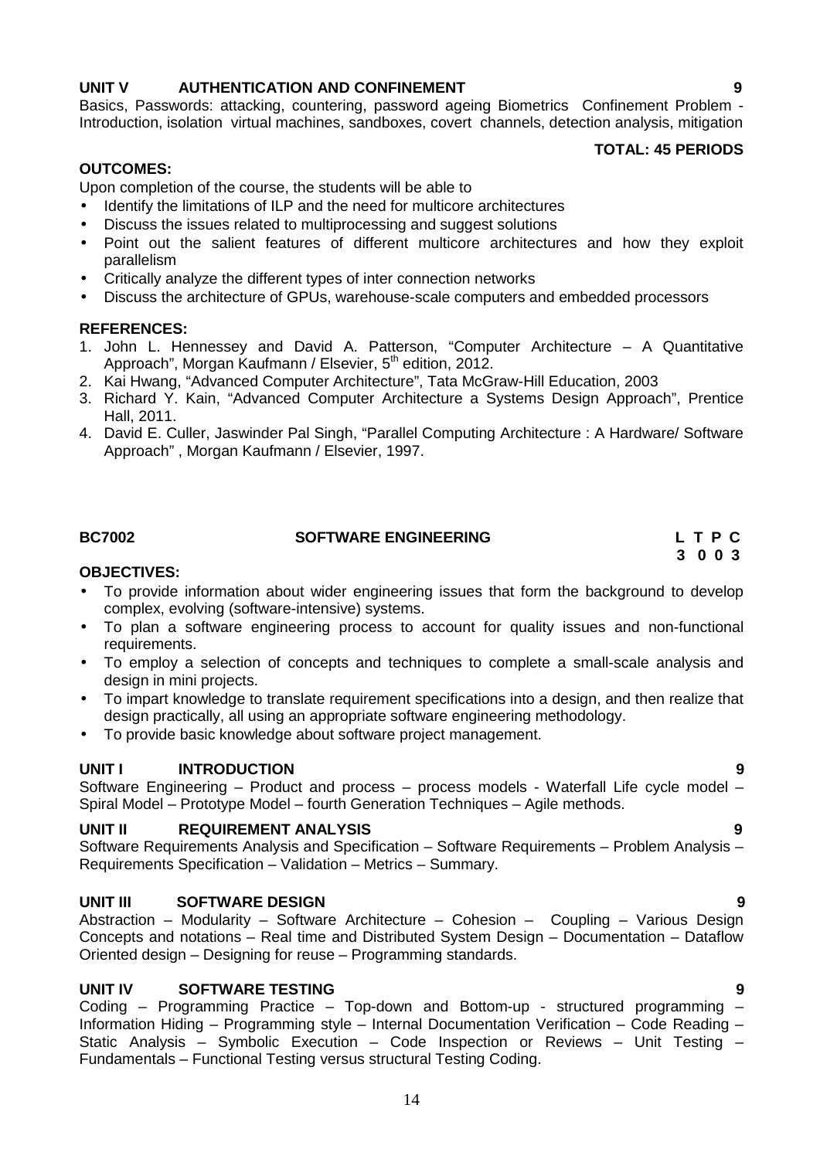### **UNIT V AUTHENTICATION AND CONFINEMENT 9**

Basics, Passwords: attacking, countering, password ageing Biometrics Confinement Problem - Introduction, isolation virtual machines, sandboxes, covert channels, detection analysis, mitigation

### **TOTAL: 45 PERIODS**

### **OUTCOMES:**

Upon completion of the course, the students will be able to

- Identify the limitations of ILP and the need for multicore architectures
- Discuss the issues related to multiprocessing and suggest solutions
- Point out the salient features of different multicore architectures and how they exploit parallelism
- Critically analyze the different types of inter connection networks
- Discuss the architecture of GPUs, warehouse-scale computers and embedded processors

### **REFERENCES:**

- 1. John L. Hennessey and David A. Patterson, "Computer Architecture A Quantitative Approach", Morgan Kaufmann / Elsevier, 5<sup>th</sup> edition, 2012.
- 2. Kai Hwang, "Advanced Computer Architecture", Tata McGraw-Hill Education, 2003
- 3. Richard Y. Kain, "Advanced Computer Architecture a Systems Design Approach", Prentice Hall, 2011.
- 4. David E. Culler, Jaswinder Pal Singh, "Parallel Computing Architecture : A Hardware/ Software Approach" , Morgan Kaufmann / Elsevier, 1997.

### **BC7002 SOFTWARE ENGINEERING L T P C**

# **3 0 0 3**

### **OBJECTIVES:**

- To provide information about wider engineering issues that form the background to develop complex, evolving (software-intensive) systems.
- To plan a software engineering process to account for quality issues and non-functional requirements.
- To employ a selection of concepts and techniques to complete a small-scale analysis and design in mini projects.
- To impart knowledge to translate requirement specifications into a design, and then realize that design practically, all using an appropriate software engineering methodology.
- To provide basic knowledge about software project management.

### **UNIT I INTRODUCTION 9**

Software Engineering – Product and process – process models - Waterfall Life cycle model – Spiral Model – Prototype Model – fourth Generation Techniques – Agile methods.

### **UNIT II REQUIREMENT ANALYSIS 9**

Software Requirements Analysis and Specification – Software Requirements – Problem Analysis – Requirements Specification – Validation – Metrics – Summary.

### **UNIT III SOFTWARE DESIGN 9**

Abstraction – Modularity – Software Architecture – Cohesion – Coupling – Various Design Concepts and notations – Real time and Distributed System Design – Documentation – Dataflow Oriented design – Designing for reuse – Programming standards.

### **UNIT IV SOFTWARE TESTING 9**

Coding – Programming Practice – Top-down and Bottom-up - structured programming – Information Hiding – Programming style – Internal Documentation Verification – Code Reading – Static Analysis – Symbolic Execution – Code Inspection or Reviews – Unit Testing – Fundamentals – Functional Testing versus structural Testing Coding.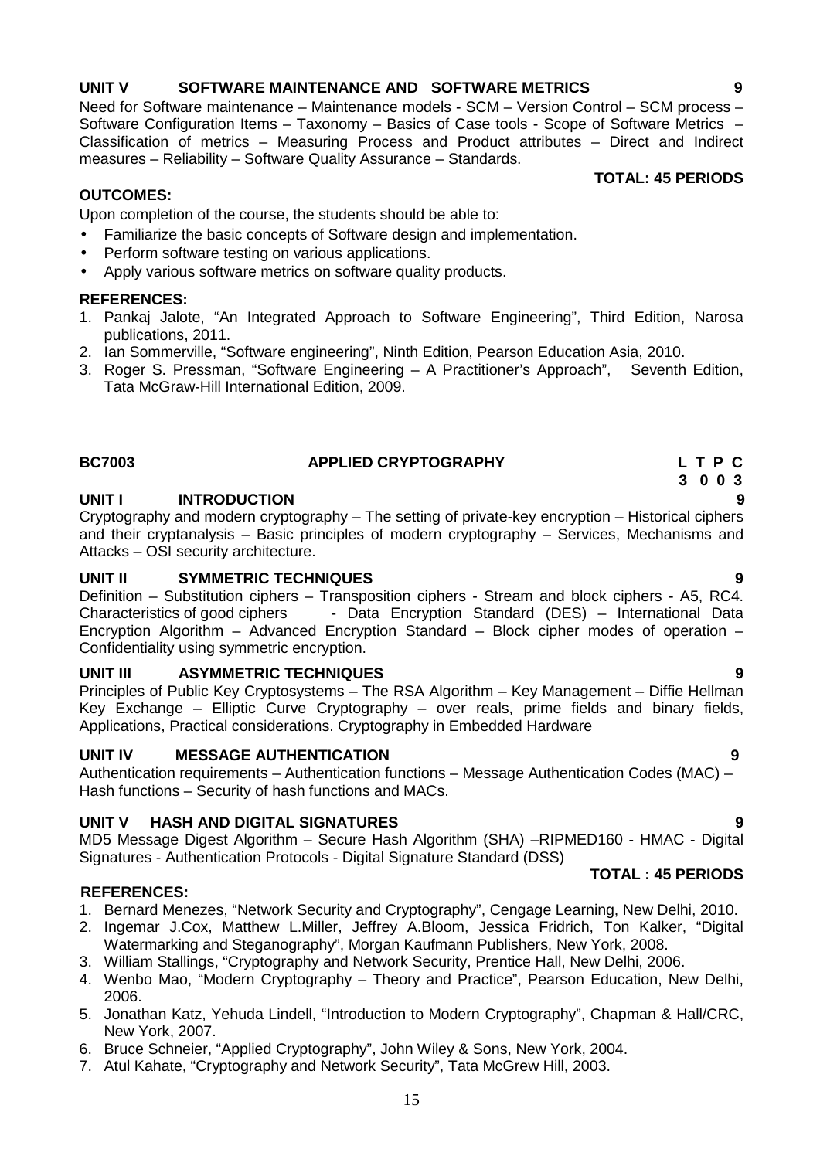# **UNIT V SOFTWARE MAINTENANCE AND SOFTWARE METRICS 9**

Need for Software maintenance – Maintenance models - SCM – Version Control – SCM process – Software Configuration Items – Taxonomy – Basics of Case tools - Scope of Software Metrics – Classification of metrics – Measuring Process and Product attributes – Direct and Indirect measures – Reliability – Software Quality Assurance – Standards.

### **TOTAL: 45 PERIODS**

### **OUTCOMES:**

Upon completion of the course, the students should be able to:

- Familiarize the basic concepts of Software design and implementation.
- Perform software testing on various applications.
- Apply various software metrics on software quality products.

### **REFERENCES:**

- 1. Pankaj Jalote, "An Integrated Approach to Software Engineering", Third Edition, Narosa publications, 2011.
- 2. Ian Sommerville, "Software engineering", Ninth Edition, Pearson Education Asia, 2010.
- 3. Roger S. Pressman, "Software Engineering A Practitioner's Approach", Seventh Edition, Tata McGraw-Hill International Edition, 2009.

### **BC7003 APPLIED CRYPTOGRAPHY L T P C 3 0 0 3**

### **UNIT I INTRODUCTION 9**

Cryptography and modern cryptography – The setting of private-key encryption – Historical ciphers and their cryptanalysis – Basic principles of modern cryptography – Services, Mechanisms and Attacks – OSI security architecture.

### **UNIT II SYMMETRIC TECHNIQUES 9**

Definition – Substitution ciphers – Transposition ciphers - Stream and block ciphers - A5, RC4. Characteristics of good ciphers - Data Encryption Standard (DES) – International Data Encryption Algorithm – Advanced Encryption Standard – Block cipher modes of operation – Confidentiality using symmetric encryption.

### **UNIT III ASYMMETRIC TECHNIQUES 9**

Principles of Public Key Cryptosystems – The RSA Algorithm – Key Management – Diffie Hellman Key Exchange – Elliptic Curve Cryptography – over reals, prime fields and binary fields, Applications, Practical considerations. Cryptography in Embedded Hardware

### **UNIT IV MESSAGE AUTHENTICATION 9**

Authentication requirements – Authentication functions – Message Authentication Codes (MAC) – Hash functions – Security of hash functions and MACs.

## **UNIT V HASH AND DIGITAL SIGNATURES 9**

MD5 Message Digest Algorithm – Secure Hash Algorithm (SHA) –RIPMED160 - HMAC - Digital Signatures - Authentication Protocols - Digital Signature Standard (DSS)

### **REFERENCES:**

- 1. Bernard Menezes, "Network Security and Cryptography", Cengage Learning, New Delhi, 2010.
- 2. Ingemar J.Cox, Matthew L.Miller, Jeffrey A.Bloom, Jessica Fridrich, Ton Kalker, "Digital Watermarking and Steganography", Morgan Kaufmann Publishers, New York, 2008.
- 3. William Stallings, "Cryptography and Network Security, Prentice Hall, New Delhi, 2006.
- 4. Wenbo Mao, "Modern Cryptography Theory and Practice", Pearson Education, New Delhi, 2006.
- 5. Jonathan Katz, Yehuda Lindell, "Introduction to Modern Cryptography", Chapman & Hall/CRC, New York, 2007.
- 6. Bruce Schneier, "Applied Cryptography", John Wiley & Sons, New York, 2004.
- 7. Atul Kahate, "Cryptography and Network Security", Tata McGrew Hill, 2003.

**TOTAL : 45 PERIODS**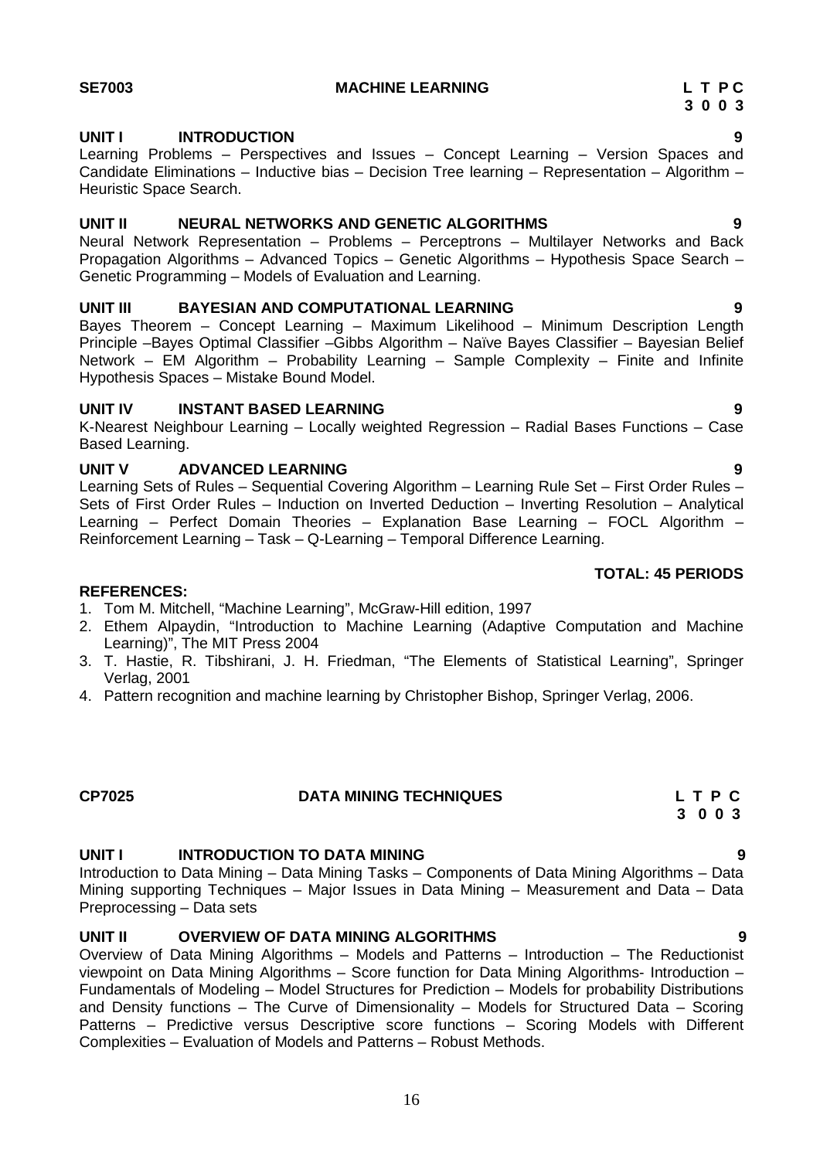### **UNIT I INTRODUCTION 9**

Learning Problems – Perspectives and Issues – Concept Learning – Version Spaces and Candidate Eliminations – Inductive bias – Decision Tree learning – Representation – Algorithm – Heuristic Space Search.

### **UNIT II NEURAL NETWORKS AND GENETIC ALGORITHMS 9**

Neural Network Representation – Problems – Perceptrons – Multilayer Networks and Back Propagation Algorithms – Advanced Topics – Genetic Algorithms – Hypothesis Space Search – Genetic Programming – Models of Evaluation and Learning.

### **UNIT III BAYESIAN AND COMPUTATIONAL LEARNING 9**

Bayes Theorem – Concept Learning – Maximum Likelihood – Minimum Description Length Principle –Bayes Optimal Classifier –Gibbs Algorithm – Naïve Bayes Classifier – Bayesian Belief Network – EM Algorithm – Probability Learning – Sample Complexity – Finite and Infinite Hypothesis Spaces – Mistake Bound Model.

### **UNIT IV INSTANT BASED LEARNING 9**

K-Nearest Neighbour Learning – Locally weighted Regression – Radial Bases Functions – Case Based Learning.

### **UNIT V ADVANCED LEARNING 9**

Learning Sets of Rules – Sequential Covering Algorithm – Learning Rule Set – First Order Rules – Sets of First Order Rules – Induction on Inverted Deduction – Inverting Resolution – Analytical Learning – Perfect Domain Theories – Explanation Base Learning – FOCL Algorithm – Reinforcement Learning – Task – Q-Learning – Temporal Difference Learning.

### **REFERENCES:**

- 1. Tom M. Mitchell, "Machine Learning", McGraw-Hill edition, 1997
- 2. Ethem Alpaydin, "Introduction to Machine Learning (Adaptive Computation and Machine Learning)", The MIT Press 2004
- 3. T. Hastie, R. Tibshirani, J. H. Friedman, "The Elements of Statistical Learning", Springer Verlag, 2001
- 4. Pattern recognition and machine learning by Christopher Bishop, Springer Verlag, 2006.

# **CP7025 DATA MINING TECHNIQUES L T P C**

## **UNIT I INTRODUCTION TO DATA MINING 9**

Introduction to Data Mining – Data Mining Tasks – Components of Data Mining Algorithms – Data Mining supporting Techniques – Major Issues in Data Mining – Measurement and Data – Data Preprocessing – Data sets

### **UNIT II OVERVIEW OF DATA MINING ALGORITHMS 9**

Overview of Data Mining Algorithms – Models and Patterns – Introduction – The Reductionist viewpoint on Data Mining Algorithms – Score function for Data Mining Algorithms- Introduction – Fundamentals of Modeling – Model Structures for Prediction – Models for probability Distributions and Density functions – The Curve of Dimensionality – Models for Structured Data – Scoring Patterns – Predictive versus Descriptive score functions – Scoring Models with Different Complexities – Evaluation of Models and Patterns – Robust Methods.

## **TOTAL: 45 PERIODS**

# **3 0 0 3**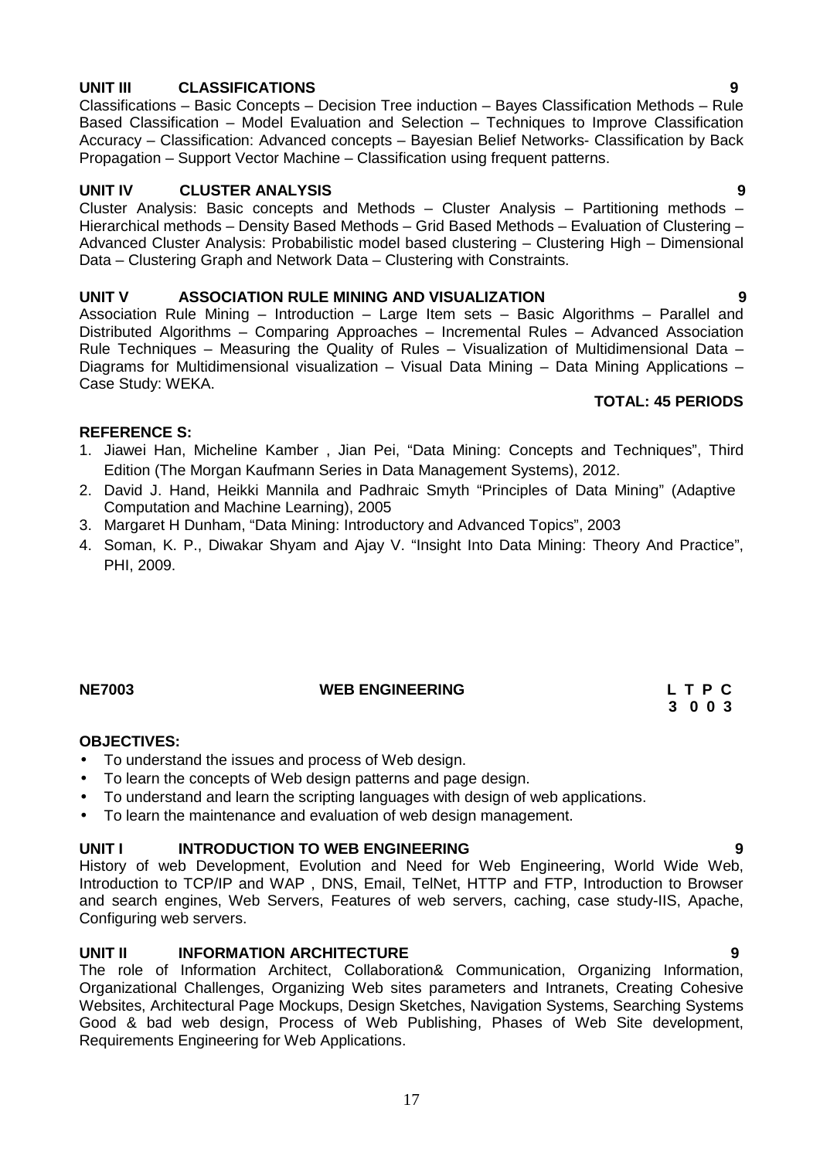# **UNIT III CLASSIFICATIONS 9**

Classifications – Basic Concepts – Decision Tree induction – Bayes Classification Methods – Rule Based Classification – Model Evaluation and Selection – Techniques to Improve Classification Accuracy – Classification: Advanced concepts – Bayesian Belief Networks- Classification by Back Propagation – Support Vector Machine – Classification using frequent patterns.

### **UNIT IV CLUSTER ANALYSIS 9**

Cluster Analysis: Basic concepts and Methods – Cluster Analysis – Partitioning methods – Hierarchical methods – Density Based Methods – Grid Based Methods – Evaluation of Clustering – Advanced Cluster Analysis: Probabilistic model based clustering – Clustering High – Dimensional Data – Clustering Graph and Network Data – Clustering with Constraints.

### **UNIT V ASSOCIATION RULE MINING AND VISUALIZATION 9**

Association Rule Mining – Introduction – Large Item sets – Basic Algorithms – Parallel and Distributed Algorithms – Comparing Approaches – Incremental Rules – Advanced Association Rule Techniques – Measuring the Quality of Rules – Visualization of Multidimensional Data – Diagrams for Multidimensional visualization – Visual Data Mining – Data Mining Applications – Case Study: WEKA.

### **TOTAL: 45 PERIODS**

### **REFERENCE S:**

- 1. Jiawei Han, Micheline Kamber , Jian Pei, "Data Mining: Concepts and Techniques", Third Edition (The Morgan Kaufmann Series in Data Management Systems), 2012.
- 2. David J. Hand, Heikki Mannila and Padhraic Smyth "Principles of Data Mining" (Adaptive Computation and Machine Learning), 2005
- 3. Margaret H Dunham, "Data Mining: Introductory and Advanced Topics", 2003
- 4. Soman, K. P., Diwakar Shyam and Ajay V. "Insight Into Data Mining: Theory And Practice", PHI, 2009.

### **NE7003 WEB ENGINEERING L T P C**

### **OBJECTIVES:**

- To understand the issues and process of Web design.
- To learn the concepts of Web design patterns and page design.
- To understand and learn the scripting languages with design of web applications.
- To learn the maintenance and evaluation of web design management.

### **UNIT I INTRODUCTION TO WEB ENGINEERING 9**

History of web Development, Evolution and Need for Web Engineering, World Wide Web, Introduction to TCP/IP and WAP , DNS, Email, TelNet, HTTP and FTP, Introduction to Browser and search engines, Web Servers, Features of web servers, caching, case study-IIS, Apache, Configuring web servers.

### **UNIT II INFORMATION ARCHITECTURE 9**

The role of Information Architect, Collaboration& Communication, Organizing Information, Organizational Challenges, Organizing Web sites parameters and Intranets, Creating Cohesive Websites, Architectural Page Mockups, Design Sketches, Navigation Systems, Searching Systems Good & bad web design, Process of Web Publishing, Phases of Web Site development, Requirements Engineering for Web Applications.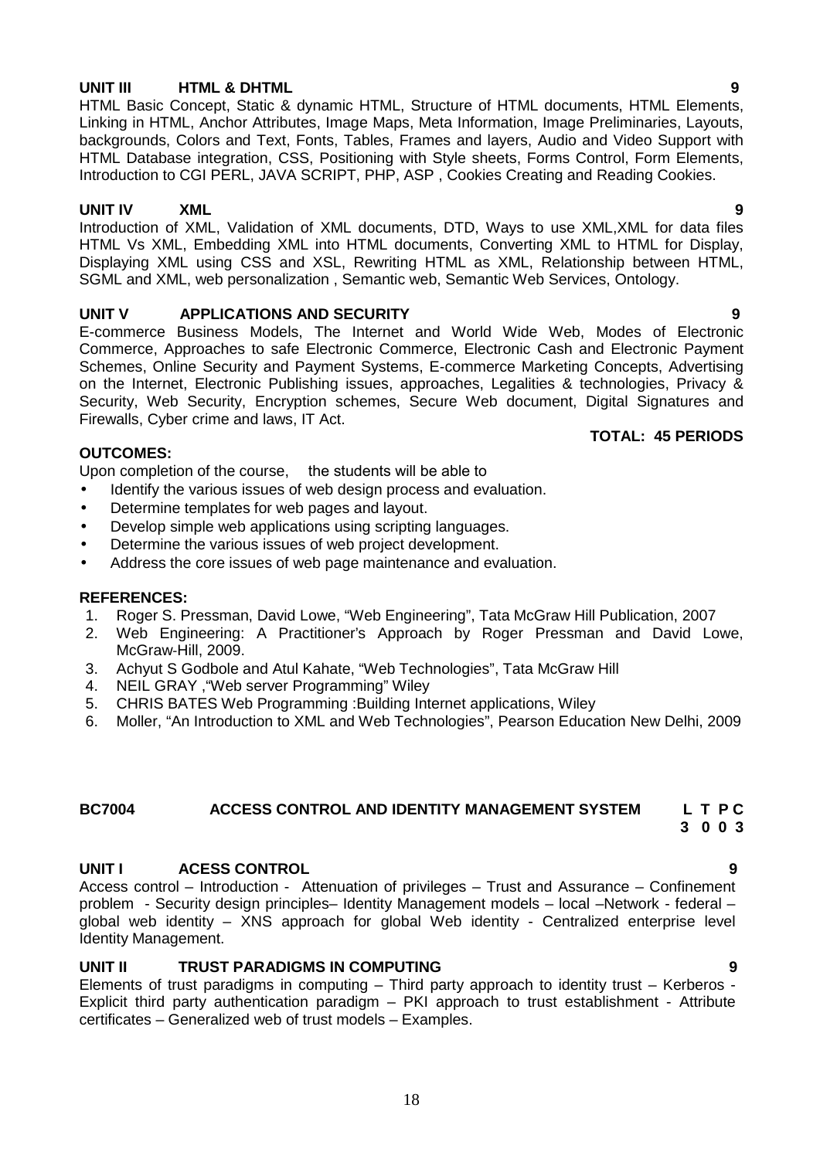### **UNIT III HTML & DHTML 9**

HTML Basic Concept, Static & dynamic HTML, Structure of HTML documents, HTML Elements, Linking in HTML, Anchor Attributes, Image Maps, Meta Information, Image Preliminaries, Layouts, backgrounds, Colors and Text, Fonts, Tables, Frames and layers, Audio and Video Support with HTML Database integration, CSS, Positioning with Style sheets, Forms Control, Form Elements, Introduction to CGI PERL, JAVA SCRIPT, PHP, ASP , Cookies Creating and Reading Cookies.

**UNIT IV XML 9** Introduction of XML, Validation of XML documents, DTD, Ways to use XML,XML for data files HTML Vs XML, Embedding XML into HTML documents, Converting XML to HTML for Display, Displaying XML using CSS and XSL, Rewriting HTML as XML, Relationship between HTML, SGML and XML, web personalization , Semantic web, Semantic Web Services, Ontology.

### **UNIT V APPLICATIONS AND SECURITY 9**

E-commerce Business Models, The Internet and World Wide Web, Modes of Electronic Commerce, Approaches to safe Electronic Commerce, Electronic Cash and Electronic Payment Schemes, Online Security and Payment Systems, E-commerce Marketing Concepts, Advertising on the Internet, Electronic Publishing issues, approaches, Legalities & technologies, Privacy & Security, Web Security, Encryption schemes, Secure Web document, Digital Signatures and Firewalls, Cyber crime and laws, IT Act.

### **TOTAL: 45 PERIODS**

### **OUTCOMES:**

Upon completion of the course, the students will be able to

- Identify the various issues of web design process and evaluation.
- Determine templates for web pages and layout.
- Develop simple web applications using scripting languages.
- Determine the various issues of web project development.
- Address the core issues of web page maintenance and evaluation.

### **REFERENCES:**

- 1. Roger S. Pressman, David Lowe, "Web Engineering", Tata McGraw Hill Publication, 2007
- 2. Web Engineering: A Practitioner's Approach by Roger Pressman and David Lowe, McGraw‐Hill, 2009.
- 3. Achyut S Godbole and Atul Kahate, "Web Technologies", Tata McGraw Hill
- 4. NEIL GRAY ,"Web server Programming" Wiley
- 5. CHRIS BATES Web Programming :Building Internet applications, Wiley
- 6. Moller, "An Introduction to XML and Web Technologies", Pearson Education New Delhi, 2009

### **BC7004 ACCESS CONTROL AND IDENTITY MANAGEMENT SYSTEM L T P C 3 0 0 3**

### **UNIT I ACESS CONTROL 9**

Access control – Introduction - Attenuation of privileges – Trust and Assurance – Confinement problem - Security design principles– Identity Management models – local –Network - federal – global web identity – XNS approach for global Web identity - Centralized enterprise level Identity Management.

### **UNIT II TRUST PARADIGMS IN COMPUTING 9**

Elements of trust paradigms in computing – Third party approach to identity trust – Kerberos - Explicit third party authentication paradigm – PKI approach to trust establishment - Attribute certificates – Generalized web of trust models – Examples.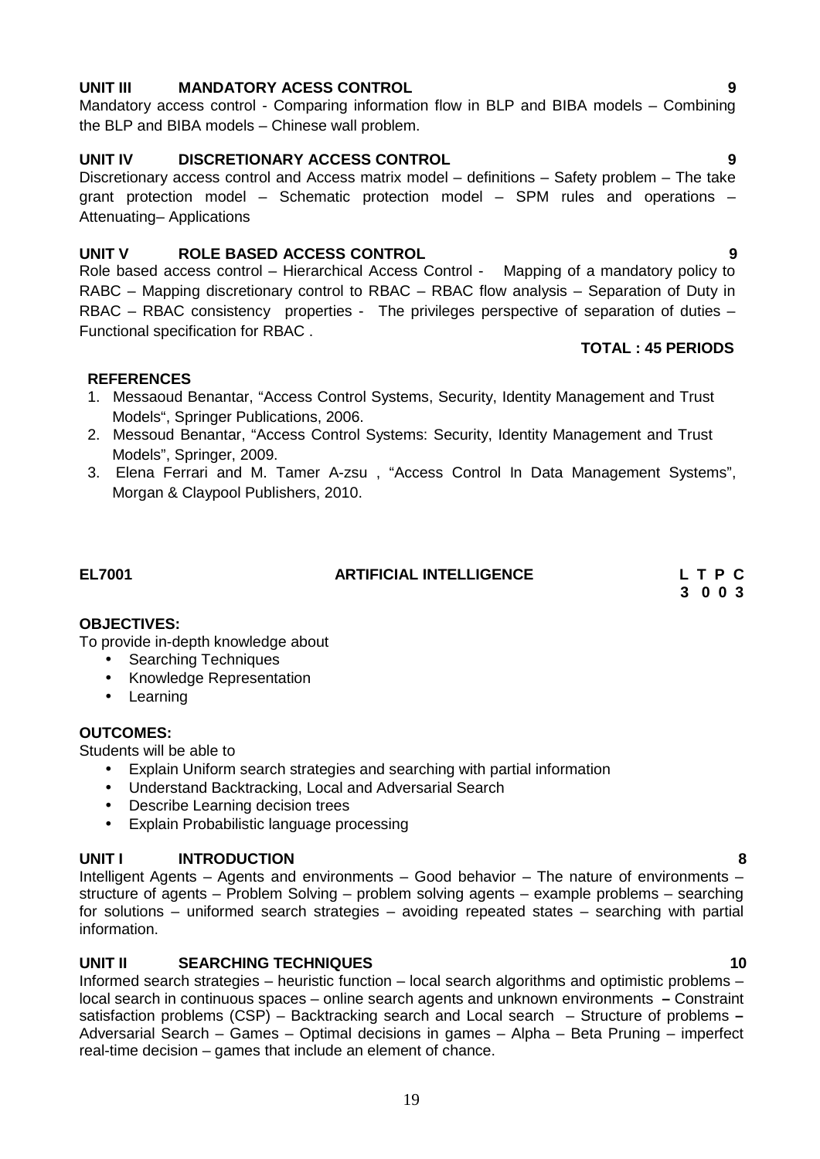### **UNIT III MANDATORY ACESS CONTROL 9**

Mandatory access control - Comparing information flow in BLP and BIBA models – Combining the BLP and BIBA models – Chinese wall problem.

### **UNIT IV DISCRETIONARY ACCESS CONTROL 9**

Discretionary access control and Access matrix model – definitions – Safety problem – The take grant protection model – Schematic protection model – SPM rules and operations – Attenuating– Applications

### **UNIT V ROLE BASED ACCESS CONTROL 9**

Role based access control – Hierarchical Access Control - Mapping of a mandatory policy to RABC – Mapping discretionary control to RBAC – RBAC flow analysis – Separation of Duty in RBAC – RBAC consistency properties - The privileges perspective of separation of duties – Functional specification for RBAC .

### **REFERENCES**

- 1. Messaoud Benantar, "Access Control Systems, Security, Identity Management and Trust Models", Springer Publications, 2006.
- 2. Messoud Benantar, "Access Control Systems: Security, Identity Management and Trust Models", Springer, 2009.
- 3. Elena Ferrari and M. Tamer A-zsu , "Access Control In Data Management Systems", Morgan & Claypool Publishers, 2010.

## **EL7001 ARTIFICIAL INTELLIGENCE L T P C**

**3 0 0 3**

### **OBJECTIVES:**

To provide in-depth knowledge about

- Searching Techniques
- Knowledge Representation
- Learning

### **OUTCOMES:**

Students will be able to

- Explain Uniform search strategies and searching with partial information
- Understand Backtracking, Local and Adversarial Search
- Describe Learning decision trees
- Explain Probabilistic language processing

### **UNIT I INTRODUCTION 8**

Intelligent Agents – Agents and environments – Good behavior – The nature of environments – structure of agents – Problem Solving – problem solving agents – example problems – searching for solutions – uniformed search strategies – avoiding repeated states – searching with partial information.

### **UNIT II SEARCHING TECHNIQUES 10**

Informed search strategies – heuristic function – local search algorithms and optimistic problems – local search in continuous spaces – online search agents and unknown environments **–** Constraint satisfaction problems (CSP) – Backtracking search and Local search – Structure of problems **–** Adversarial Search – Games – Optimal decisions in games – Alpha – Beta Pruning – imperfect real-time decision – games that include an element of chance.

**TOTAL : 45 PERIODS**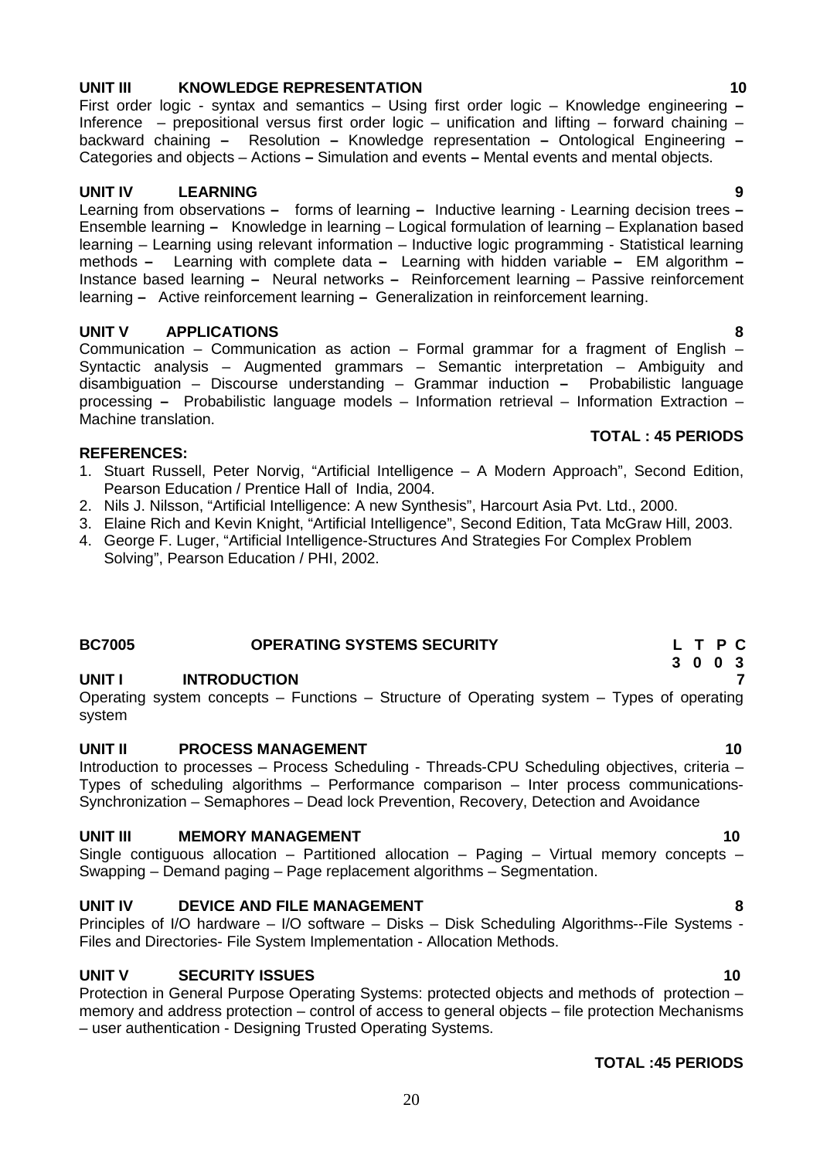### **UNIT III KNOWLEDGE REPRESENTATION 10**

First order logic - syntax and semantics – Using first order logic – Knowledge engineering **–** Inference – prepositional versus first order logic – unification and lifting – forward chaining – backward chaining **–** Resolution **–** Knowledge representation **–** Ontological Engineering **–** Categories and objects – Actions **–** Simulation and events **–** Mental events and mental objects.

# **UNIT IV LEARNING 9**

Learning from observations **–** forms of learning **–** Inductive learning - Learning decision trees **–** Ensemble learning **–** Knowledge in learning – Logical formulation of learning – Explanation based learning – Learning using relevant information – Inductive logic programming - Statistical learning methods **–** Learning with complete data **–** Learning with hidden variable **–** EM algorithm **–** Instance based learning **–** Neural networks **–** Reinforcement learning – Passive reinforcement learning **–** Active reinforcement learning **–** Generalization in reinforcement learning.

# **UNIT V APPLICATIONS 8**

Communication – Communication as action – Formal grammar for a fragment of English – Syntactic analysis – Augmented grammars – Semantic interpretation – Ambiguity and disambiguation – Discourse understanding – Grammar induction **–** Probabilistic language processing **–** Probabilistic language models – Information retrieval – Information Extraction – Machine translation. **TOTAL : 45 PERIODS**

### **REFERENCES:**

- 1. Stuart Russell, Peter Norvig, "Artificial Intelligence A Modern Approach", Second Edition, Pearson Education / Prentice Hall of India, 2004.
- 2. Nils J. Nilsson, "Artificial Intelligence: A new Synthesis", Harcourt Asia Pvt. Ltd., 2000.
- 3. Elaine Rich and Kevin Knight, "Artificial Intelligence", Second Edition, Tata McGraw Hill, 2003.
- 4. George F. Luger, "Artificial Intelligence-Structures And Strategies For Complex Problem Solving", Pearson Education / PHI, 2002.

## **BC7005 OPERATING SYSTEMS SECURITY L T P C**

### **UNIT I INTRODUCTION 7**

Operating system concepts – Functions – Structure of Operating system – Types of operating system

### **UNIT II PROCESS MANAGEMENT 10**

Introduction to processes – Process Scheduling - Threads-CPU Scheduling objectives, criteria – Types of scheduling algorithms – Performance comparison – Inter process communications- Synchronization – Semaphores – Dead lock Prevention, Recovery, Detection and Avoidance

### **UNIT III MEMORY MANAGEMENT 10**

Single contiguous allocation – Partitioned allocation – Paging – Virtual memory concepts – Swapping – Demand paging – Page replacement algorithms – Segmentation.

### **UNIT IV DEVICE AND FILE MANAGEMENT 8**

Principles of I/O hardware – I/O software – Disks – Disk Scheduling Algorithms--File Systems - Files and Directories- File System Implementation - Allocation Methods.

### **UNIT V SECURITY ISSUES 10**

Protection in General Purpose Operating Systems: protected objects and methods of protection – memory and address protection – control of access to general objects – file protection Mechanisms – user authentication - Designing Trusted Operating Systems.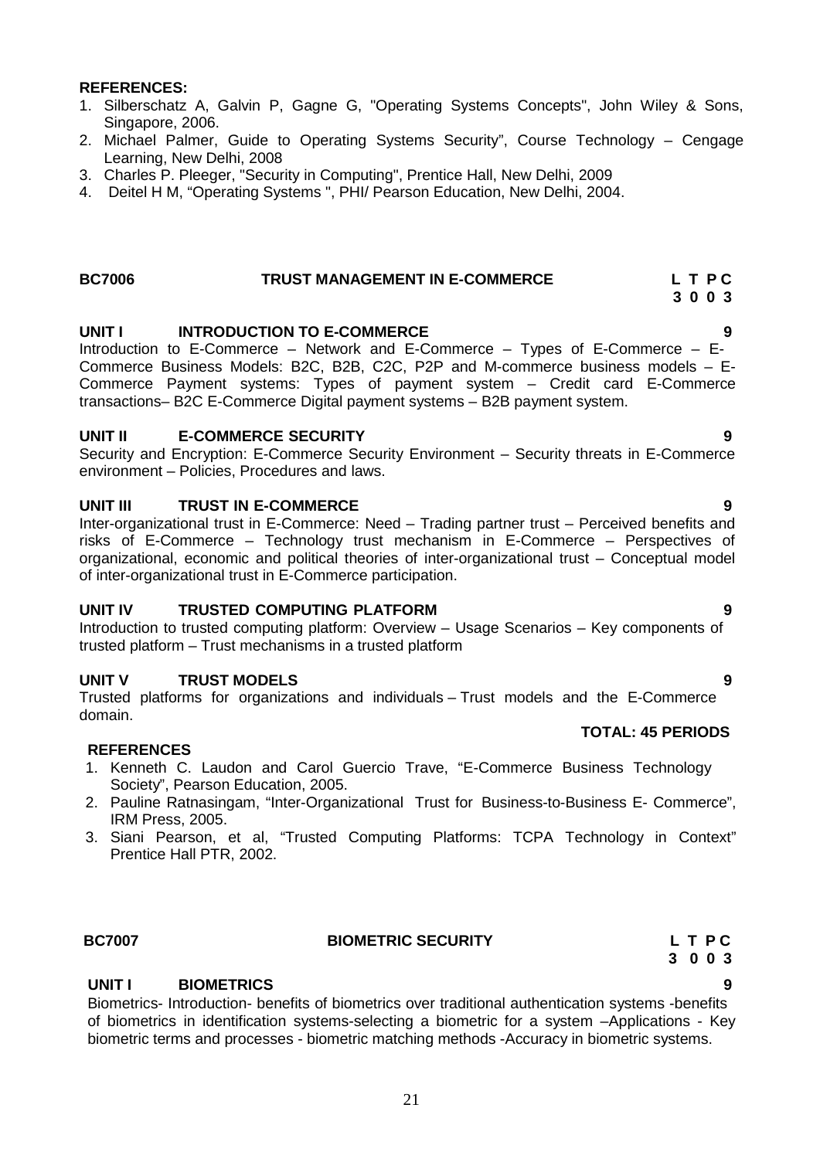# **UNIT I BIOMETRICS 9**

Biometrics- Introduction- benefits of biometrics over traditional authentication systems -benefits of biometrics in identification systems-selecting a biometric for a system –Applications - Key biometric terms and processes - biometric matching methods -Accuracy in biometric systems.

# **REFERENCES:**

- 1. Silberschatz A, Galvin P, Gagne G, "Operating Systems Concepts", John Wiley & Sons, Singapore, 2006.
- 2. Michael Palmer, Guide to Operating Systems Security", Course Technology Cengage Learning, New Delhi, 2008
- 3. Charles P. Pleeger, "Security in Computing", Prentice Hall, New Delhi, 2009
- 4. Deitel H M, "Operating Systems ", PHI/ Pearson Education, New Delhi, 2004.

# **BC7006 TRUST MANAGEMENT IN E-COMMERCE L T P C**

**UNIT I INTRODUCTION TO E-COMMERCE**<br>Introduction to E-Commerce – Network and E-Commerce – Types of E-Commerce – E-Commerce Business Models: B2C, B2B, C2C, P2P and M-commerce business models – E-Commerce Payment systems: Types of payment system – Credit card E-Commerce transactions– B2C E-Commerce Digital payment systems – B2B payment system.

### **UNIT II E-COMMERCE SECURITY 9**

Security and Encryption: E-Commerce Security Environment – Security threats in E-Commerce environment – Policies, Procedures and laws.

## **UNIT III TRUST IN E-COMMERCE 9**

Inter-organizational trust in E-Commerce: Need – Trading partner trust – Perceived benefits and risks of E-Commerce – Technology trust mechanism in E-Commerce – Perspectives of organizational, economic and political theories of inter-organizational trust – Conceptual model of inter-organizational trust in E-Commerce participation.

## **UNIT IV TRUSTED COMPUTING PLATFORM 9**

Introduction to trusted computing platform: Overview – Usage Scenarios – Key components of trusted platform – Trust mechanisms in a trusted platform

## **UNIT V TRUST MODELS 9**

Trusted platforms for organizations and individuals – Trust models and the E-Commerce domain.

## **REFERENCES**

- 1. Kenneth C. Laudon and Carol Guercio Trave, "E-Commerce Business Technology Society", Pearson Education, 2005.
- 2. Pauline Ratnasingam, "Inter-Organizational Trust for Business-to-Business E- Commerce", IRM Press, 2005.
- 3. Siani Pearson, et al, "Trusted Computing Platforms: TCPA Technology in Context" Prentice Hall PTR, 2002.

# **BC7007 BIOMETRIC SECURITY L T P C**

# **TOTAL: 45 PERIODS**

# **3 0 0 3**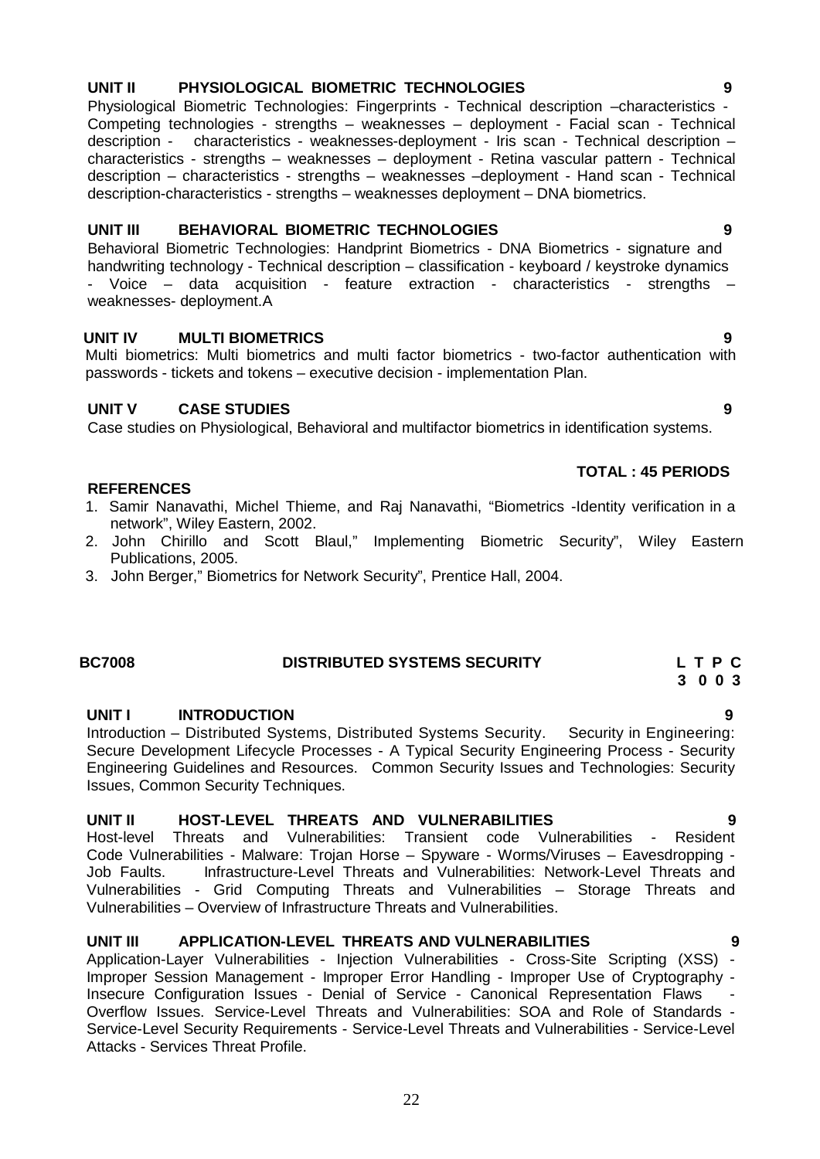### **UNIT II PHYSIOLOGICAL BIOMETRIC TECHNOLOGIES 9**

Physiological Biometric Technologies: Fingerprints - Technical description -characteristics -Competing technologies - strengths – weaknesses – deployment - Facial scan - Technical description - characteristics - weaknesses-deployment - Iris scan - Technical description – characteristics - strengths – weaknesses – deployment - Retina vascular pattern - Technical description – characteristics - strengths – weaknesses –deployment - Hand scan - Technical description-characteristics - strengths – weaknesses deployment – DNA biometrics.

### **UNIT III BEHAVIORAL BIOMETRIC TECHNOLOGIES 9**

Behavioral Biometric Technologies: Handprint Biometrics - DNA Biometrics - signature and handwriting technology - Technical description – classification - keyboard / keystroke dynamics - Voice – data acquisition - feature extraction - characteristics - strengths – weaknesses- deployment.A

### **UNIT IV MULTI BIOMETRICS 9**

Multi biometrics: Multi biometrics and multi factor biometrics - two-factor authentication with passwords - tickets and tokens – executive decision - implementation Plan.

### **UNIT V CASE STUDIES 9**

Case studies on Physiological, Behavioral and multifactor biometrics in identification systems.

### **REFERENCES**

- 1. Samir Nanavathi, Michel Thieme, and Raj Nanavathi, "Biometrics -Identity verification in a network", Wiley Eastern, 2002.
- 2. John Chirillo and Scott Blaul," Implementing Biometric Security", Wiley Eastern Publications, 2005.
- 3. John Berger," Biometrics for Network Security", Prentice Hall, 2004.

### **BC7008 DISTRIBUTED SYSTEMS SECURITY L T P C**

### **UNIT I INTRODUCTION 9**

Introduction – Distributed Systems, Distributed Systems Security. Security in Engineering: Secure Development Lifecycle Processes - A Typical Security Engineering Process - Security Engineering Guidelines and Resources. Common Security Issues and Technologies: Security Issues, Common Security Techniques.

### **UNIT II HOST-LEVEL THREATS AND VULNERABILITIES 9**

Host-level Threats and Vulnerabilities: Transient code Vulnerabilities - Resident Code Vulnerabilities - Malware: Trojan Horse – Spyware - Worms/Viruses – Eavesdropping -<br>Job Faults. Politiastructure-Level Threats and Vulnerabilities: Network-Level Threats and Infrastructure-Level Threats and Vulnerabilities: Network-Level Threats and Vulnerabilities -Grid Computing Threats and Vulnerabilities – Storage Threats and Vulnerabilities – Overview of Infrastructure Threats and Vulnerabilities.

### **UNIT III APPLICATION-LEVEL THREATS AND VULNERABILITIES 9**

Application-Layer Vulnerabilities - Injection Vulnerabilities - Cross-Site Scripting (XSS) -Improper Session Management - Improper Error Handling - Improper Use of Cryptography - Insecure Configuration Issues - Denial of Service - Canonical Representation Flaws Overflow Issues. Service-Level Threats and Vulnerabilities: SOA and Role of Standards - Service-Level Security Requirements - Service-Level Threats and Vulnerabilities - Service-Level Attacks - Services Threat Profile.

**TOTAL : 45 PERIODS**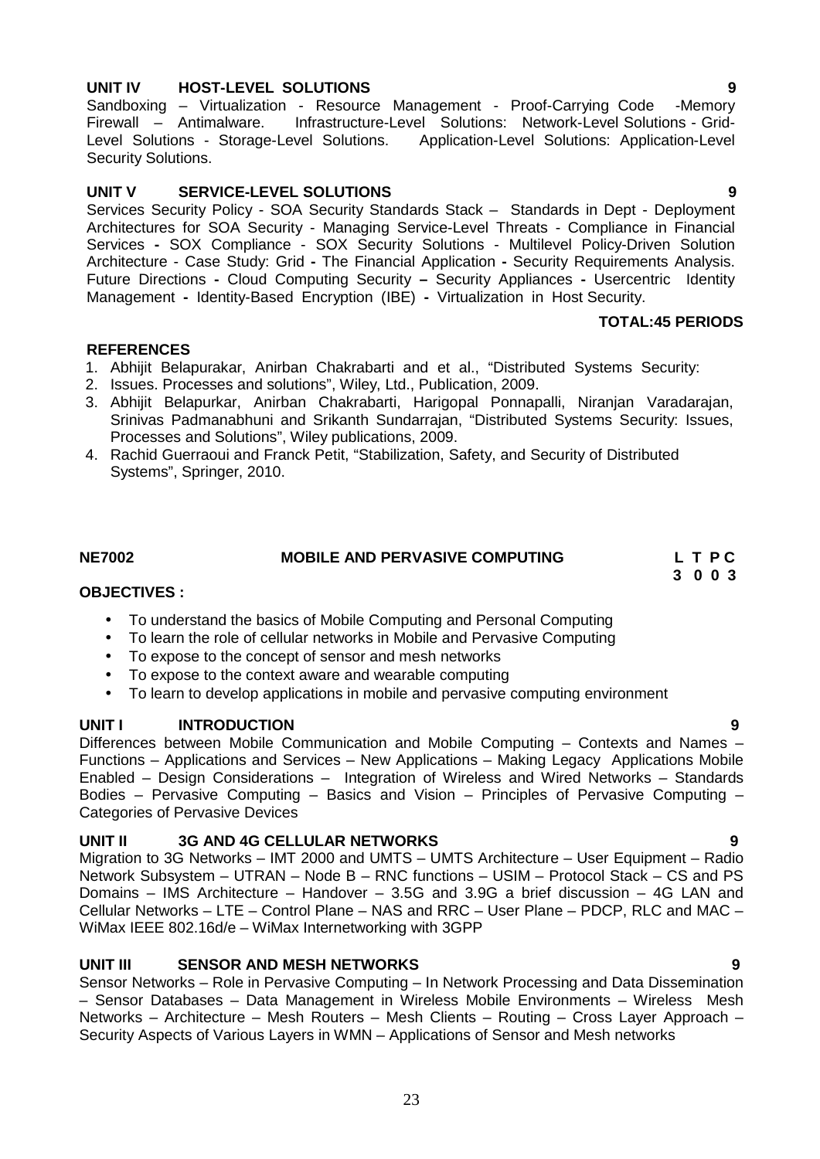### **UNIT IV HOST-LEVEL SOLUTIONS 9**

Sandboxing – Virtualization - Resource Management - Proof-Carrying Code -Memory Firewall – Antimalware. Infrastructure-Level Solutions: Network-Level Solutions - Grid- Level Solutions - Storage-Level Solutions. Application-Level Solutions: Application-Level Security Solutions.

## **UNIT V SERVICE-LEVEL SOLUTIONS 9**

Services Security Policy - SOA Security Standards Stack – Standards in Dept - Deployment Architectures for SOA Security - Managing Service-Level Threats - Compliance in Financial Services **-** SOX Compliance - SOX Security Solutions - Multilevel Policy-Driven Solution Architecture - Case Study: Grid **-** The Financial Application **-** Security Requirements Analysis. Future Directions **-** Cloud Computing Security **–** Security Appliances **-** Usercentric Identity Management **-** Identity-Based Encryption (IBE) **-** Virtualization in Host Security.

## **TOTAL:45 PERIODS**

## **REFERENCES**

- 1. Abhijit Belapurakar, Anirban Chakrabarti and et al., "Distributed Systems Security:
- 2. Issues. Processes and solutions", Wiley, Ltd., Publication, 2009.
- 3. Abhijit Belapurkar, Anirban Chakrabarti, Harigopal Ponnapalli, Niranjan Varadarajan, Srinivas Padmanabhuni and Srikanth Sundarrajan, "Distributed Systems Security: Issues, Processes and Solutions", Wiley publications, 2009.
- 4. Rachid Guerraoui and Franck Petit, "Stabilization, Safety, and Security of Distributed Systems", Springer, 2010.

**OBJECTIVES :**

# To understand the basics of Mobile Computing and Personal Computing

- To learn the role of cellular networks in Mobile and Pervasive Computing
- To expose to the concept of sensor and mesh networks
- To expose to the context aware and wearable computing
- To learn to develop applications in mobile and pervasive computing environment

## **UNIT I INTRODUCTION 9**

Differences between Mobile Communication and Mobile Computing – Contexts and Names – Functions – Applications and Services – New Applications – Making Legacy Applications Mobile Enabled – Design Considerations – Integration of Wireless and Wired Networks – Standards Bodies – Pervasive Computing – Basics and Vision – Principles of Pervasive Computing – Categories of Pervasive Devices

# **UNIT II 3G AND 4G CELLULAR NETWORKS 9**

Migration to 3G Networks – IMT 2000 and UMTS – UMTS Architecture – User Equipment – Radio Network Subsystem – UTRAN – Node B – RNC functions – USIM – Protocol Stack – CS and PS Domains – IMS Architecture – Handover – 3.5G and 3.9G a brief discussion – 4G LAN and Cellular Networks – LTE – Control Plane – NAS and RRC – User Plane – PDCP, RLC and MAC – WiMax IEEE 802.16d/e – WiMax Internetworking with 3GPP

# **UNIT III SENSOR AND MESH NETWORKS 9**

Sensor Networks – Role in Pervasive Computing – In Network Processing and Data Dissemination – Sensor Databases – Data Management in Wireless Mobile Environments – Wireless Mesh Networks – Architecture – Mesh Routers – Mesh Clients – Routing – Cross Layer Approach – Security Aspects of Various Layers in WMN – Applications of Sensor and Mesh networks

### **NE7002 MOBILE AND PERVASIVE COMPUTING L T P C 3 0 0 3**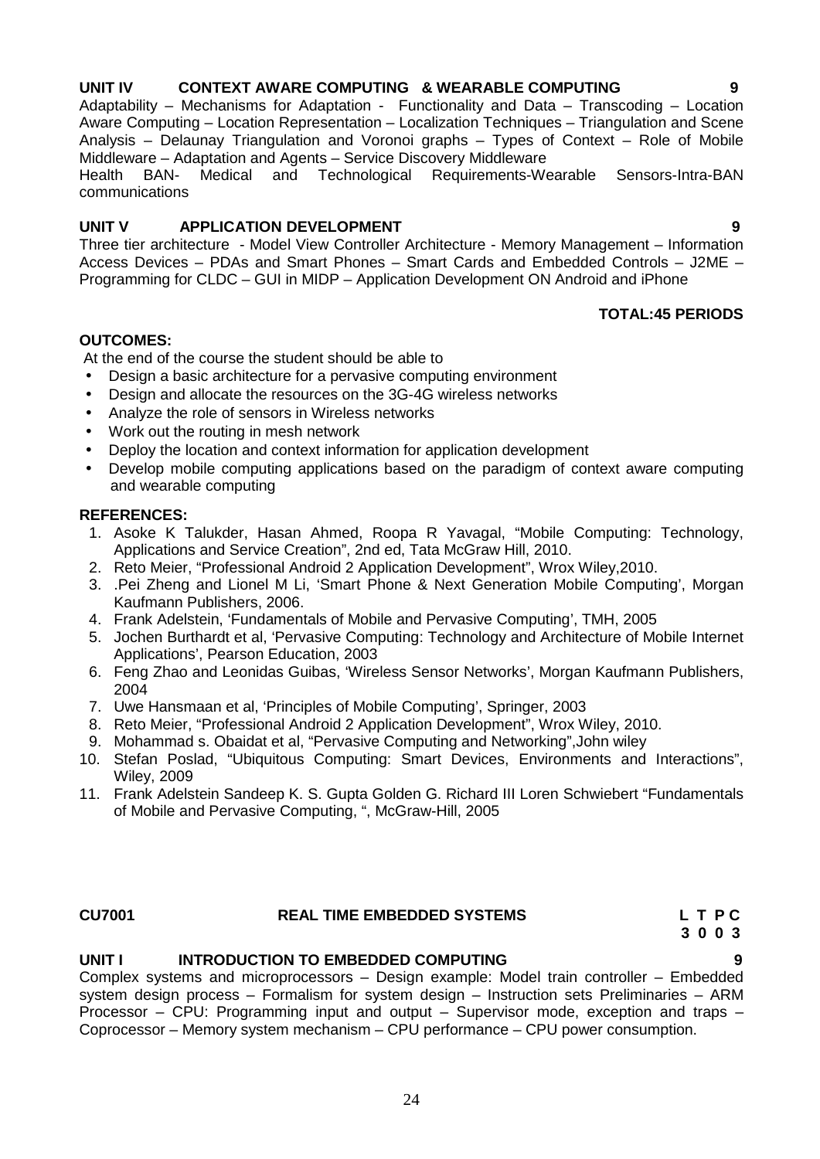### **UNIT IV CONTEXT AWARE COMPUTING & WEARABLE COMPUTING 9**

Adaptability – Mechanisms for Adaptation - Functionality and Data – Transcoding – Location Aware Computing – Location Representation – Localization Techniques – Triangulation and Scene Analysis – Delaunay Triangulation and Voronoi graphs – Types of Context – Role of Mobile Middleware – Adaptation and Agents – Service Discovery Middleware

Health BAN- Medical and Technological Requirements-Wearable Sensors-Intra-BAN communications

### **UNIT V APPLICATION DEVELOPMENT 9**

Three tier architecture - Model View Controller Architecture - Memory Management – Information Access Devices – PDAs and Smart Phones – Smart Cards and Embedded Controls – J2ME – Programming for CLDC – GUI in MIDP – Application Development ON Android and iPhone

### **TOTAL:45 PERIODS**

### **OUTCOMES:**

At the end of the course the student should be able to

- Design a basic architecture for a pervasive computing environment
- Design and allocate the resources on the 3G-4G wireless networks
- Analyze the role of sensors in Wireless networks
- Work out the routing in mesh network
- Deploy the location and context information for application development
- Develop mobile computing applications based on the paradigm of context aware computing and wearable computing

### **REFERENCES:**

- 1. Asoke K Talukder, Hasan Ahmed, Roopa R Yavagal, "Mobile Computing: Technology, Applications and Service Creation", 2nd ed, Tata McGraw Hill, 2010.
- 2. Reto Meier, "Professional Android 2 Application Development", Wrox Wiley,2010.
- 3. .Pei Zheng and Lionel M Li, 'Smart Phone & Next Generation Mobile Computing', Morgan Kaufmann Publishers, 2006.
- 4. Frank Adelstein, 'Fundamentals of Mobile and Pervasive Computing', TMH, 2005
- 5. Jochen Burthardt et al, 'Pervasive Computing: Technology and Architecture of Mobile Internet Applications', Pearson Education, 2003
- 6. Feng Zhao and Leonidas Guibas, 'Wireless Sensor Networks', Morgan Kaufmann Publishers, 2004
- 7. Uwe Hansmaan et al, 'Principles of Mobile Computing', Springer, 2003
- 8. Reto Meier, "Professional Android 2 Application Development", Wrox Wiley, 2010.
- 9. Mohammad s. Obaidat et al, "Pervasive Computing and Networking",John wiley
- 10. Stefan Poslad, "Ubiquitous Computing: Smart Devices, Environments and Interactions", Wiley, 2009
- 11. Frank Adelstein Sandeep K. S. Gupta Golden G. Richard III Loren Schwiebert "Fundamentals of Mobile and Pervasive Computing, ", McGraw-Hill, 2005

### **CU7001 REAL TIME EMBEDDED SYSTEMS L T P C**

# **UNIT I INTRODUCTION TO EMBEDDED COMPUTING 9**

Complex systems and microprocessors – Design example: Model train controller – Embedded system design process – Formalism for system design – Instruction sets Preliminaries – ARM Processor – CPU: Programming input and output – Supervisor mode, exception and traps – Coprocessor – Memory system mechanism – CPU performance – CPU power consumption.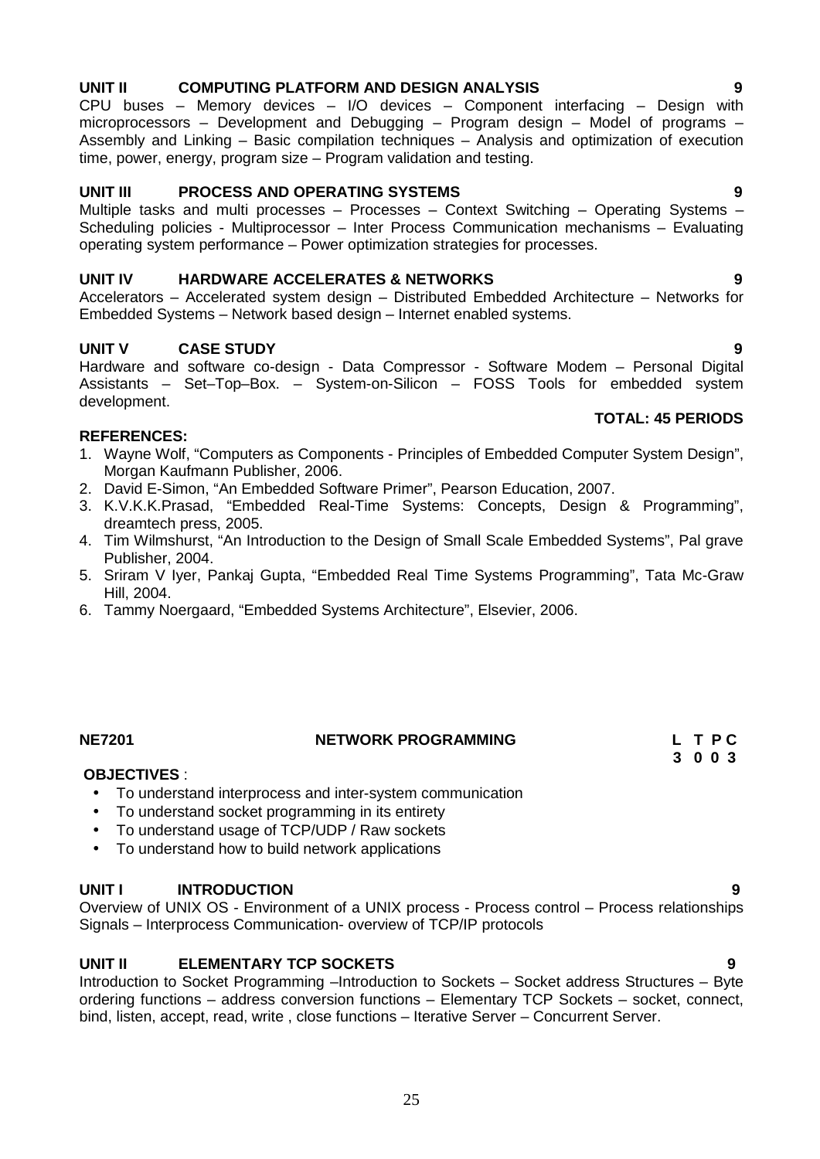### **UNIT II COMPUTING PLATFORM AND DESIGN ANALYSIS 9**

CPU buses – Memory devices – I/O devices – Component interfacing – Design with microprocessors – Development and Debugging – Program design – Model of programs – Assembly and Linking – Basic compilation techniques – Analysis and optimization of execution time, power, energy, program size – Program validation and testing.

### **UNIT III PROCESS AND OPERATING SYSTEMS 9**

Multiple tasks and multi processes – Processes – Context Switching – Operating Systems – Scheduling policies - Multiprocessor – Inter Process Communication mechanisms – Evaluating operating system performance – Power optimization strategies for processes.

### **UNIT IV HARDWARE ACCELERATES & NETWORKS 9**

Accelerators – Accelerated system design – Distributed Embedded Architecture – Networks for Embedded Systems – Network based design – Internet enabled systems.

### **UNIT V CASE STUDY 9**

Hardware and software co-design - Data Compressor - Software Modem – Personal Digital Assistants – Set–Top–Box. – System-on-Silicon – FOSS Tools for embedded system development.

# **TOTAL: 45 PERIODS**

### **REFERENCES:**

- 1. Wayne Wolf, "Computers as Components Principles of Embedded Computer System Design", Morgan Kaufmann Publisher, 2006.
- 2. David E-Simon, "An Embedded Software Primer", Pearson Education, 2007.
- 3. K.V.K.K.Prasad, "Embedded Real-Time Systems: Concepts, Design & Programming", dreamtech press, 2005.
- 4. Tim Wilmshurst, "An Introduction to the Design of Small Scale Embedded Systems", Pal grave Publisher, 2004.
- 5. Sriram V Iyer, Pankaj Gupta, "Embedded Real Time Systems Programming", Tata Mc-Graw Hill, 2004.
- 6. Tammy Noergaard, "Embedded Systems Architecture", Elsevier, 2006.

### **NE7201 NETWORK PROGRAMMING L T P C**

### **OBJECTIVES** :

- To understand interprocess and inter-system communication
- To understand socket programming in its entirety
- To understand usage of TCP/UDP / Raw sockets
- To understand how to build network applications

### **UNIT I INTRODUCTION 9**

Overview of UNIX OS - Environment of a UNIX process - Process control – Process relationships Signals – Interprocess Communication- overview of TCP/IP protocols

### **UNIT II ELEMENTARY TCP SOCKETS 9**

Introduction to Socket Programming –Introduction to Sockets – Socket address Structures – Byte ordering functions – address conversion functions – Elementary TCP Sockets – socket, connect, bind, listen, accept, read, write , close functions – Iterative Server – Concurrent Server.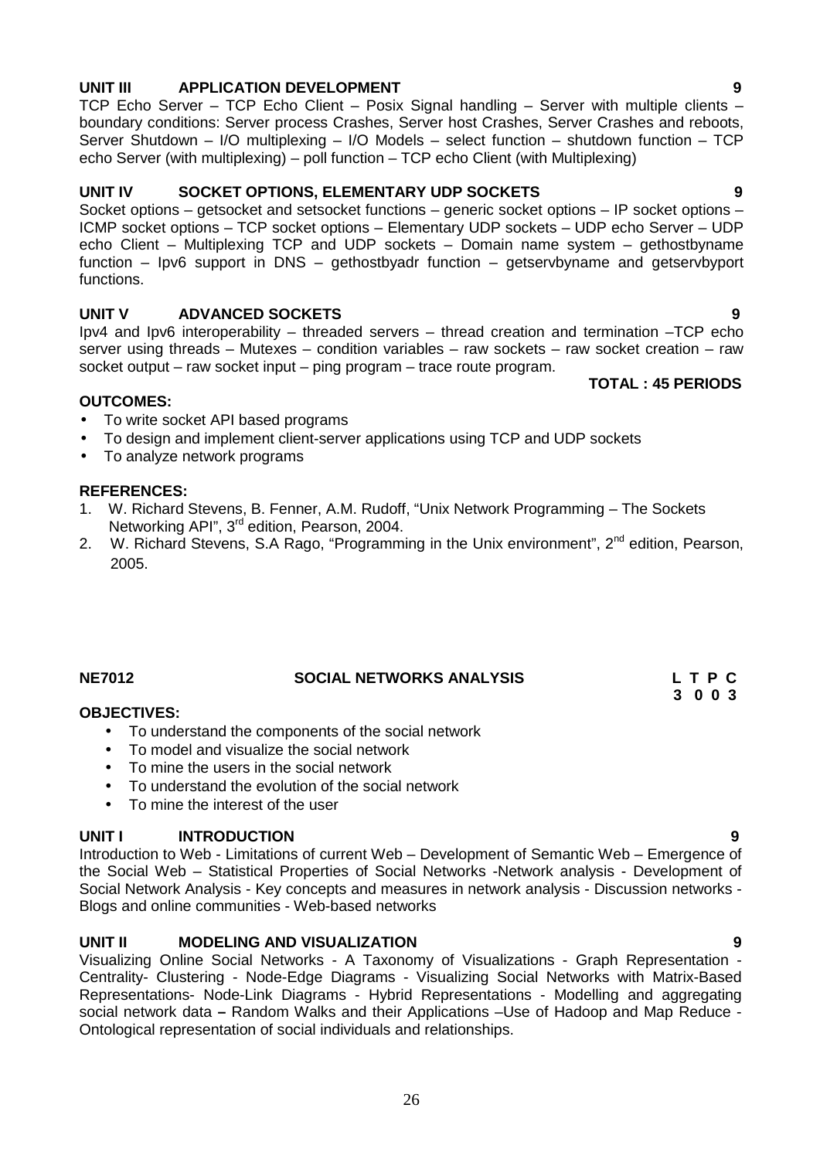### **UNIT III APPLICATION DEVELOPMENT 9**

TCP Echo Server – TCP Echo Client – Posix Signal handling – Server with multiple clients – boundary conditions: Server process Crashes, Server host Crashes, Server Crashes and reboots, Server Shutdown – I/O multiplexing – I/O Models – select function – shutdown function – TCP echo Server (with multiplexing) – poll function – TCP echo Client (with Multiplexing)

### **UNIT IV SOCKET OPTIONS, ELEMENTARY UDP SOCKETS 9**

Socket options – getsocket and setsocket functions – generic socket options – IP socket options – ICMP socket options – TCP socket options – Elementary UDP sockets – UDP echo Server – UDP echo Client – Multiplexing TCP and UDP sockets – Domain name system – gethostbyname function – Ipv6 support in DNS – gethostbyadr function – getservbyname and getservbyport functions.

### **UNIT V ADVANCED SOCKETS 9**

Ipv4 and Ipv6 interoperability – threaded servers – thread creation and termination –TCP echo server using threads – Mutexes – condition variables – raw sockets – raw socket creation – raw socket output – raw socket input – ping program – trace route program. **TOTAL : 45 PERIODS**

### **OUTCOMES:**

- To write socket API based programs
- To design and implement client-server applications using TCP and UDP sockets
- To analyze network programs

### **REFERENCES:**

- 1. W. Richard Stevens, B. Fenner, A.M. Rudoff, "Unix Network Programming The Sockets Networking API", 3<sup>rd</sup> edition, Pearson, 2004.
- 2. W. Richard Stevens, S.A Rago, "Programming in the Unix environment",  $2^{nd}$  edition, Pearson, 2005.

# **NE7012 SOCIAL NETWORKS ANALYSIS L T P C**

### **OBJECTIVES:**

- To understand the components of the social network
- To model and visualize the social network
- To mine the users in the social network
- To understand the evolution of the social network
- To mine the interest of the user

### **UNIT I INTRODUCTION 9**

Introduction to Web - Limitations of current Web – Development of Semantic Web – Emergence of the Social Web – Statistical Properties of Social Networks -Network analysis - Development of Social Network Analysis - Key concepts and measures in network analysis - Discussion networks - Blogs and online communities - Web-based networks

### **UNIT II MODELING AND VISUALIZATION 9**

Visualizing Online Social Networks - A Taxonomy of Visualizations - Graph Representation - Centrality- Clustering - Node-Edge Diagrams - Visualizing Social Networks with Matrix-Based Representations- Node-Link Diagrams - Hybrid Representations - Modelling and aggregating social network data **–** Random Walks and their Applications –Use of Hadoop and Map Reduce - Ontological representation of social individuals and relationships.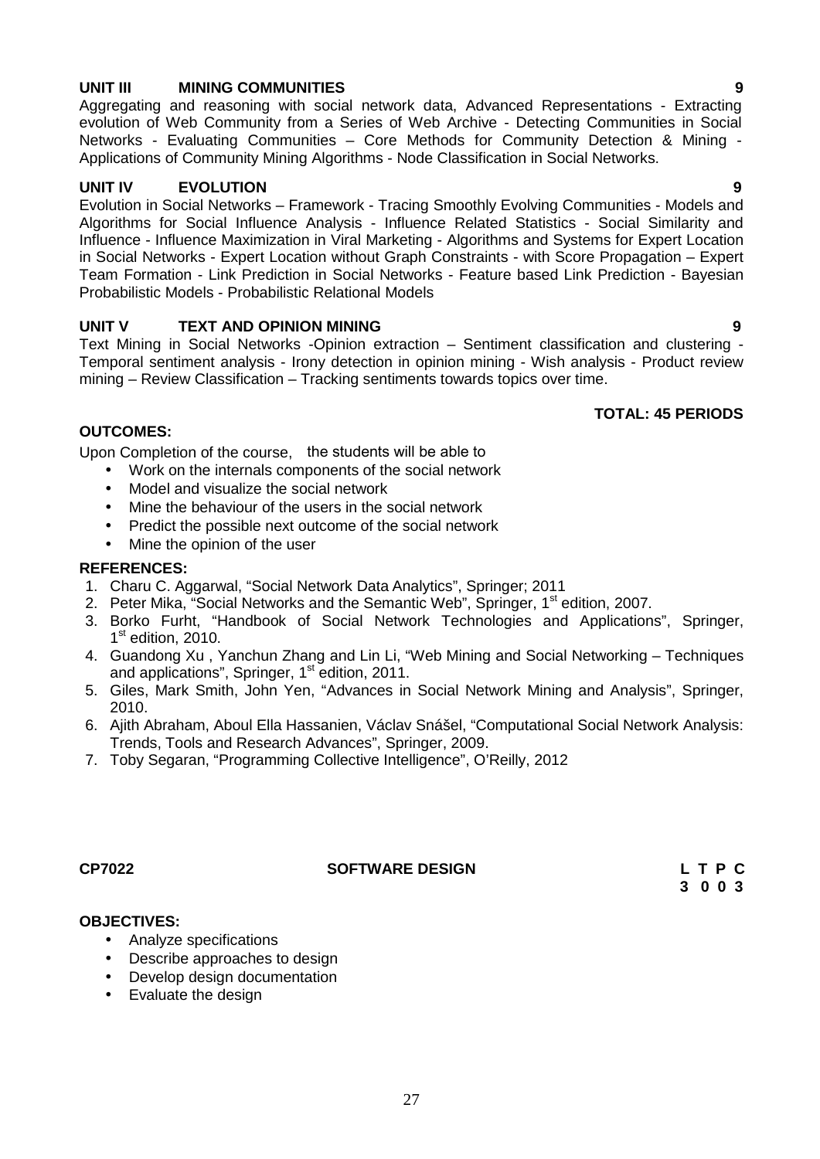### 27

### **UNIT III MINING COMMUNITIES 9**

Aggregating and reasoning with social network data, Advanced Representations - Extracting evolution of Web Community from a Series of Web Archive - Detecting Communities in Social Networks - Evaluating Communities – Core Methods for Community Detection & Mining - Applications of Community Mining Algorithms - Node Classification in Social Networks.

### **UNIT IV EVOLUTION 9**

Evolution in Social Networks – Framework - Tracing Smoothly Evolving Communities - Models and Algorithms for Social Influence Analysis - Influence Related Statistics - Social Similarity and Influence - Influence Maximization in Viral Marketing - Algorithms and Systems for Expert Location in Social Networks - Expert Location without Graph Constraints - with Score Propagation – Expert Team Formation - Link Prediction in Social Networks - Feature based Link Prediction - Bayesian Probabilistic Models - Probabilistic Relational Models

### **UNIT V TEXT AND OPINION MINING 9**

Text Mining in Social Networks -Opinion extraction – Sentiment classification and clustering - Temporal sentiment analysis - Irony detection in opinion mining - Wish analysis - Product review mining – Review Classification – Tracking sentiments towards topics over time.

### **TOTAL: 45 PERIODS**

### **OUTCOMES:**

Upon Completion of the course, the students will be able to

- Work on the internals components of the social network
- Model and visualize the social network
- Mine the behaviour of the users in the social network
- Predict the possible next outcome of the social network
- Mine the opinion of the user

### **REFERENCES:**

- 1. Charu C. Aggarwal, "Social Network Data Analytics", Springer; 2011
- 2. Peter Mika, "Social Networks and the Semantic Web", Springer, 1<sup>st</sup> edition, 2007.
- 3. Borko Furht, "Handbook of Social Network Technologies and Applications", Springer, 1<sup>st</sup> edition, 2010.
- 4. Guandong Xu , Yanchun Zhang and Lin Li, "Web Mining and Social Networking Techniques and applications", Springer, 1<sup>st</sup> edition, 2011.
- 5. Giles, Mark Smith, John Yen, "Advances in Social Network Mining and Analysis", Springer, 2010.
- 6. Ajith Abraham, Aboul Ella Hassanien, Václav Snášel, "Computational Social Network Analysis: Trends, Tools and Research Advances", Springer, 2009.
- 7. Toby Segaran, "Programming Collective Intelligence", O'Reilly, 2012

# **OBJECTIVES:**

- Analyze specifications
- Describe approaches to design
- Develop design documentation
- Evaluate the design

# **CP7022 SOFTWARE DESIGN L T P C**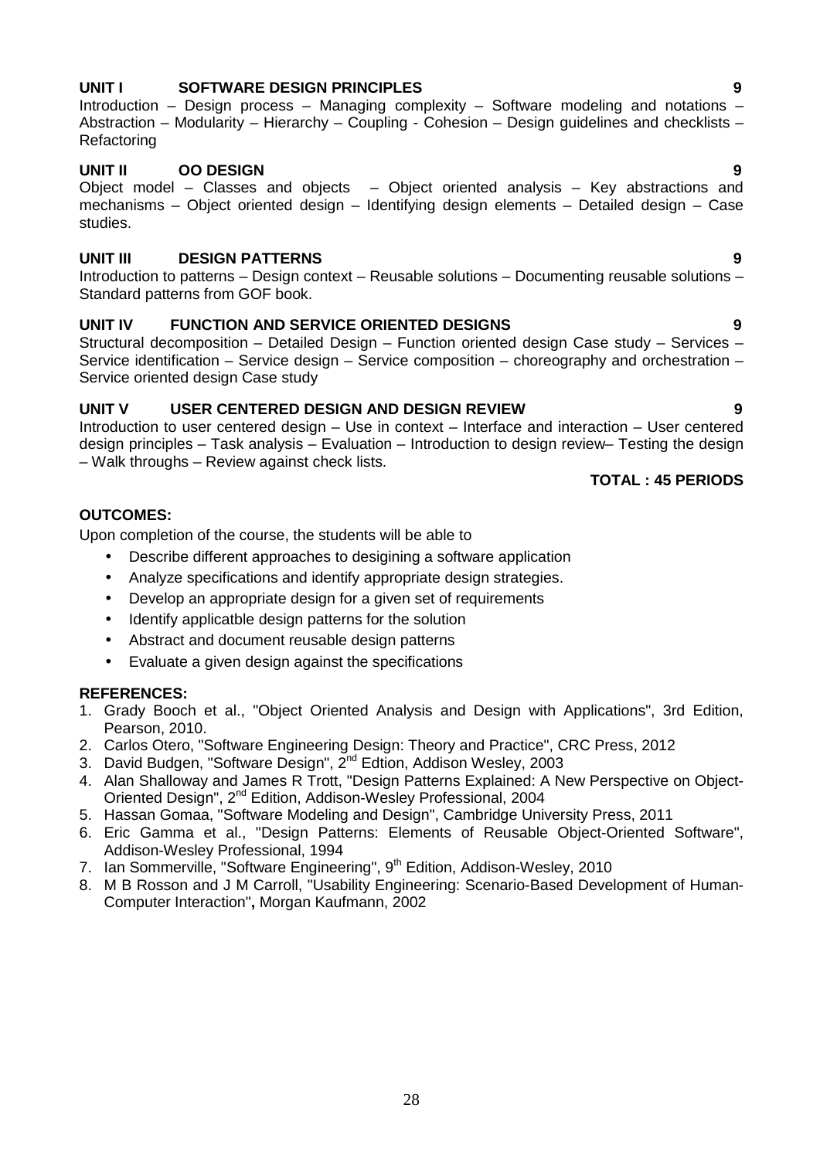# **UNIT I SOFTWARE DESIGN PRINCIPLES 9**

Introduction – Design process – Managing complexity – Software modeling and notations – Abstraction – Modularity – Hierarchy – Coupling - Cohesion – Design guidelines and checklists – Refactoring

### **UNIT II OO DESIGN 9**

Object model – Classes and objects – Object oriented analysis – Key abstractions and mechanisms – Object oriented design – Identifying design elements – Detailed design – Case studies.

### **UNIT III DESIGN PATTERNS 9**

Introduction to patterns – Design context – Reusable solutions – Documenting reusable solutions – Standard patterns from GOF book.

### **UNIT IV FUNCTION AND SERVICE ORIENTED DESIGNS 9**

Structural decomposition – Detailed Design – Function oriented design Case study – Services – Service identification – Service design – Service composition – choreography and orchestration – Service oriented design Case study

### **UNIT V USER CENTERED DESIGN AND DESIGN REVIEW 9**

Introduction to user centered design – Use in context – Interface and interaction – User centered design principles – Task analysis – Evaluation – Introduction to design review– Testing the design – Walk throughs – Review against check lists.

### **TOTAL : 45 PERIODS**

### **OUTCOMES:**

Upon completion of the course, the students will be able to

- Describe different approaches to desigining a software application
- Analyze specifications and identify appropriate design strategies.
- Develop an appropriate design for a given set of requirements
- Identify applicatble design patterns for the solution
- Abstract and document reusable design patterns
- Evaluate a given design against the specifications

### **REFERENCES:**

- 1. Grady Booch et al., "Object Oriented Analysis and Design with Applications", 3rd Edition, Pearson, 2010.
- 2. Carlos Otero, "Software Engineering Design: Theory and Practice", CRC Press, 2012
- 3. David Budgen, "Software Design",  $2^{nd}$  Edtion, Addison Wesley, 2003
- 4. Alan Shalloway and James R Trott, "Design Patterns Explained: A New Perspective on Object- Oriented Design", 2nd Edition, Addison-Wesley Professional, 2004
- 5. Hassan Gomaa, "Software Modeling and Design", Cambridge University Press, 2011
- 6. Eric Gamma et al., "Design Patterns: Elements of Reusable Object-Oriented Software", Addison-Wesley Professional, 1994
- 7. Ian Sommerville, "Software Engineering", 9<sup>th</sup> Edition, Addison-Wesley, 2010
- 8. M B Rosson and J M Carroll, "Usability Engineering: Scenario-Based Development of Human- Computer Interaction"**,** Morgan Kaufmann, 2002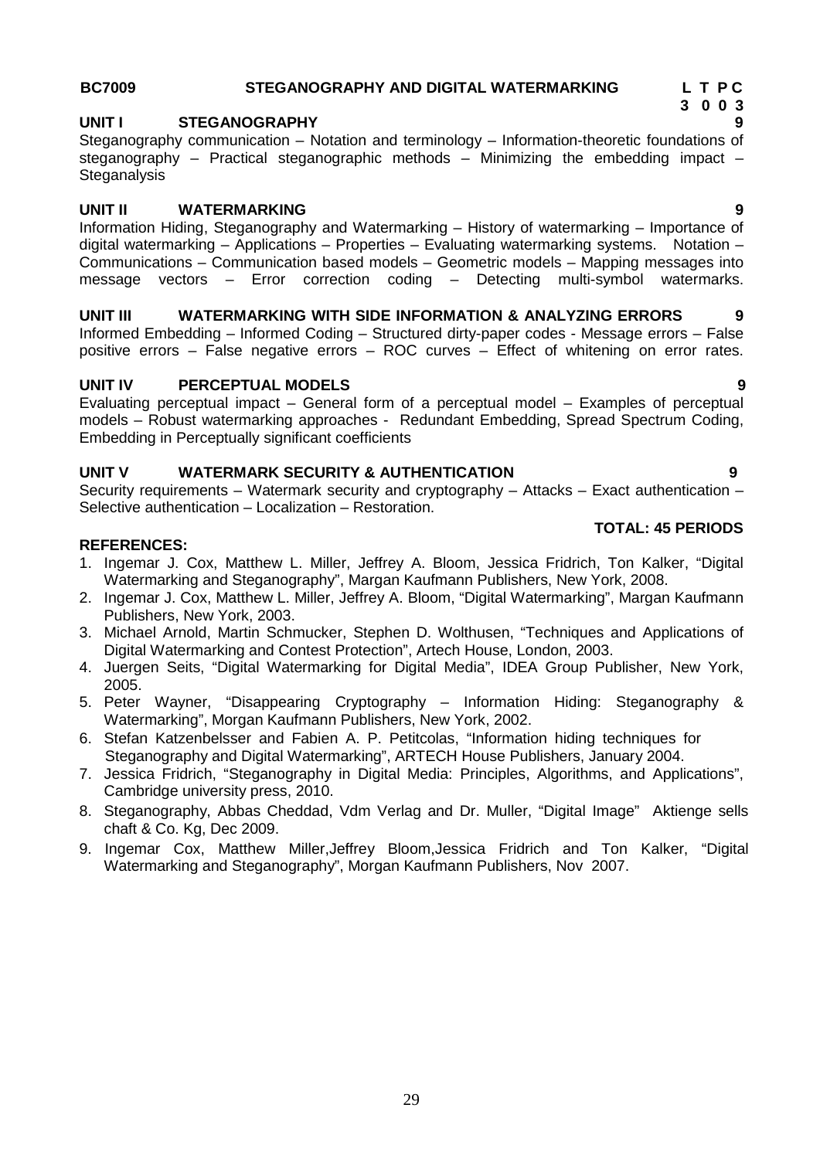### **BC7009 STEGANOGRAPHY AND DIGITAL WATERMARKING L T P C**

### **UNIT I STEGANOGRAPHY 9**

Steganography communication – Notation and terminology – Information-theoretic foundations of steganography – Practical steganographic methods – Minimizing the embedding impact – **Steganalysis** 

### **UNIT II WATERMARKING 9**

Information Hiding, Steganography and Watermarking – History of watermarking – Importance of digital watermarking – Applications – Properties – Evaluating watermarking systems. Notation – Communications – Communication based models – Geometric models – Mapping messages into message vectors – Error correction coding – Detecting multi-symbol watermarks.

# **UNIT III WATERMARKING WITH SIDE INFORMATION & ANALYZING ERRORS 9**

Informed Embedding – Informed Coding – Structured dirty-paper codes - Message errors – False positive errors – False negative errors – ROC curves – Effect of whitening on error rates.

## **UNIT IV PERCEPTUAL MODELS 9**

Evaluating perceptual impact – General form of a perceptual model – Examples of perceptual models – Robust watermarking approaches - Redundant Embedding, Spread Spectrum Coding, Embedding in Perceptually significant coefficients

## **UNIT V WATERMARK SECURITY & AUTHENTICATION 9**

Security requirements – Watermark security and cryptography – Attacks – Exact authentication – Selective authentication – Localization – Restoration.

### **REFERENCES:**

- 1. Ingemar J. Cox, Matthew L. Miller, Jeffrey A. Bloom, Jessica Fridrich, Ton Kalker, "Digital Watermarking and Steganography", Margan Kaufmann Publishers, New York, 2008.
- 2. Ingemar J. Cox, Matthew L. Miller, Jeffrey A. Bloom, "Digital Watermarking", Margan Kaufmann Publishers, New York, 2003.
- 3. Michael Arnold, Martin Schmucker, Stephen D. Wolthusen, "Techniques and Applications of Digital Watermarking and Contest Protection", Artech House, London, 2003.
- 4. Juergen Seits, "Digital Watermarking for Digital Media", IDEA Group Publisher, New York, 2005.
- 5. Peter Wayner, "Disappearing Cryptography Information Hiding: Steganography & Watermarking", Morgan Kaufmann Publishers, New York, 2002.
- 6. Stefan Katzenbelsser and Fabien A. P. Petitcolas, "Information hiding techniques for Steganography and Digital Watermarking", ARTECH House Publishers, January 2004.
- 7. Jessica Fridrich, "Steganography in Digital Media: Principles, Algorithms, and Applications", Cambridge university press, 2010.
- 8. Steganography, Abbas Cheddad, Vdm Verlag and Dr. Muller, "Digital Image" Aktienge sells chaft & Co. Kg, Dec 2009.
- 9. Ingemar Cox, Matthew Miller,Jeffrey Bloom,Jessica Fridrich and Ton Kalker, "Digital Watermarking and Steganography", Morgan Kaufmann Publishers, Nov 2007.



**TOTAL: 45 PERIODS**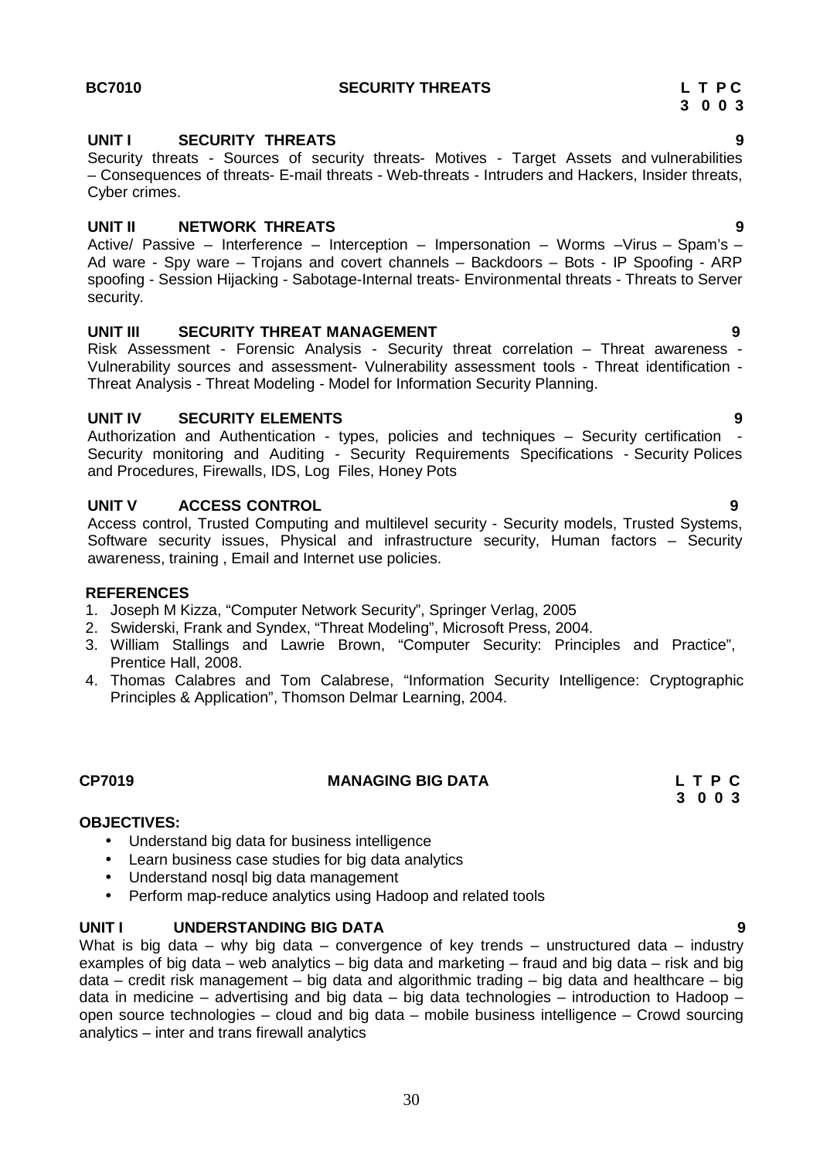### **UNIT I SECURITY THREATS 9**

Security threats - Sources of security threats- Motives - Target Assets and vulnerabilities – Consequences of threats- E-mail threats - Web-threats - Intruders and Hackers, Insider threats, Cyber crimes.

### **UNIT II NETWORK THREATS 9**

Active/ Passive – Interference – Interception – Impersonation – Worms –Virus – Spam's – Ad ware - Spy ware – Trojans and covert channels – Backdoors – Bots - IP Spoofing - ARP spoofing - Session Hijacking - Sabotage-Internal treats- Environmental threats - Threats to Server security.

### **UNIT III SECURITY THREAT MANAGEMENT 9**

Risk Assessment - Forensic Analysis - Security threat correlation – Threat awareness - Vulnerability sources and assessment- Vulnerability assessment tools - Threat identification - Threat Analysis - Threat Modeling - Model for Information Security Planning.

### **UNIT IV SECURITY ELEMENTS 9**

Authorization and Authentication - types, policies and techniques - Security certification Security monitoring and Auditing - Security Requirements Specifications - Security Polices and Procedures, Firewalls, IDS, Log Files, Honey Pots

### **UNIT V ACCESS CONTROL 9**

Access control, Trusted Computing and multilevel security - Security models, Trusted Systems, Software security issues, Physical and infrastructure security, Human factors – Security awareness, training , Email and Internet use policies.

### **REFERENCES**

- 1. Joseph M Kizza, "Computer Network Security", Springer Verlag, 2005
- 2. Swiderski, Frank and Syndex, "Threat Modeling", Microsoft Press, 2004.
- 3. William Stallings and Lawrie Brown, "Computer Security: Principles and Practice", Prentice Hall, 2008.
- 4. Thomas Calabres and Tom Calabrese, "Information Security Intelligence: Cryptographic Principles & Application", Thomson Delmar Learning, 2004.

### **CP7019 MANAGING BIG DATA L T P C**

# **OBJECTIVES:**

- Understand big data for business intelligence
- Learn business case studies for big data analytics
- Understand nosql big data management
- Perform map-reduce analytics using Hadoop and related tools

### **UNIT I UNDERSTANDING BIG DATA 9**

What is big data – why big data – convergence of key trends – unstructured data – industry examples of big data – web analytics – big data and marketing – fraud and big data – risk and big data – credit risk management – big data and algorithmic trading – big data and healthcare – big data in medicine – advertising and big data – big data technologies – introduction to Hadoop – open source technologies – cloud and big data – mobile business intelligence – Crowd sourcing analytics – inter and trans firewall analytics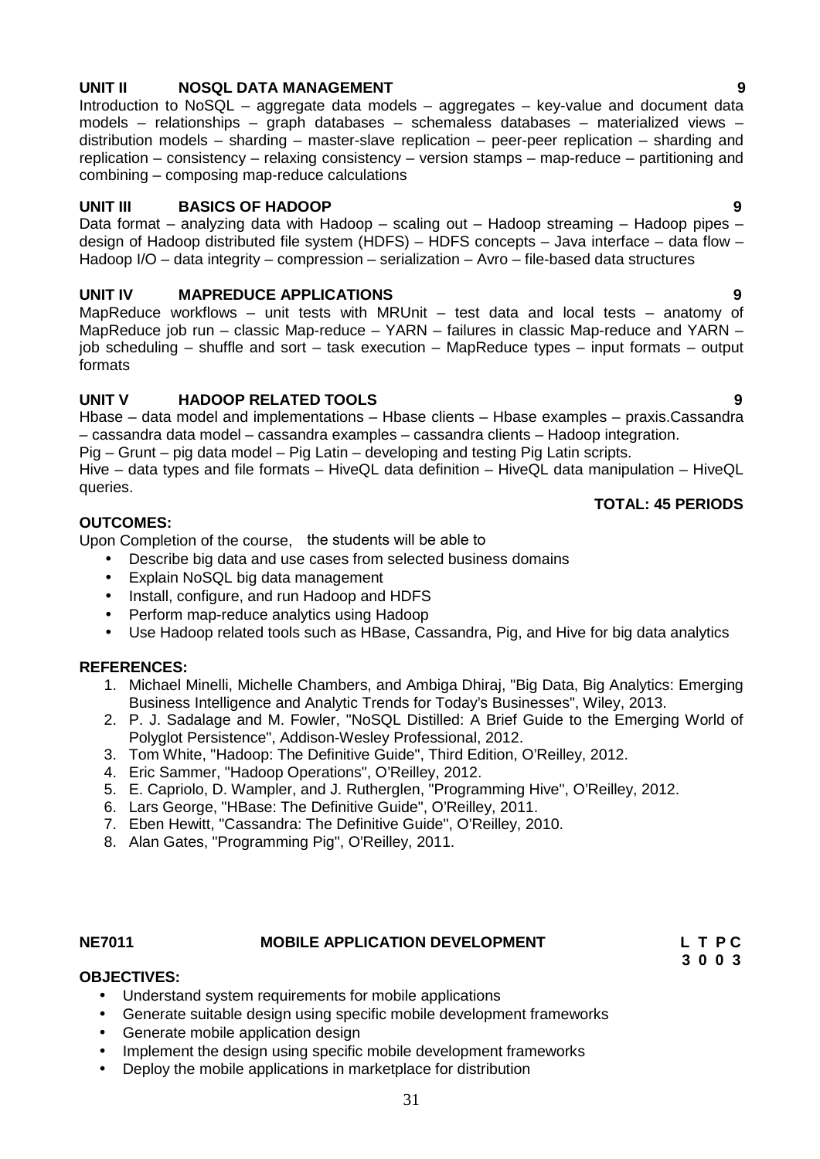### 31

## **UNIT II NOSQL DATA MANAGEMENT 9**

Introduction to NoSQL – aggregate data models – aggregates – key-value and document data models – relationships – graph databases – schemaless databases – materialized views – distribution models – sharding – master-slave replication – peer-peer replication – sharding and replication – consistency – relaxing consistency – version stamps – map-reduce – partitioning and combining – composing map-reduce calculations

## **UNIT III BASICS OF HADOOP 9**

Data format – analyzing data with Hadoop – scaling out – Hadoop streaming – Hadoop pipes – design of Hadoop distributed file system (HDFS) – HDFS concepts – Java interface – data flow – Hadoop I/O – data integrity – compression – serialization – Avro – file-based data structures

# **UNIT IV MAPREDUCE APPLICATIONS 9**

MapReduce workflows – unit tests with MRUnit – test data and local tests – anatomy of MapReduce job run – classic Map-reduce – YARN – failures in classic Map-reduce and YARN – job scheduling – shuffle and sort – task execution – MapReduce types – input formats – output formats

# **UNIT V HADOOP RELATED TOOLS 9**

Hbase – data model and implementations – Hbase clients – Hbase examples – praxis.Cassandra – cassandra data model – cassandra examples – cassandra clients – Hadoop integration. Pig – Grunt – pig data model – Pig Latin – developing and testing Pig Latin scripts.

Hive – data types and file formats – HiveQL data definition – HiveQL data manipulation – HiveQL queries.

### **OUTCOMES:**

Upon Completion of the course, the students will be able to

- Describe big data and use cases from selected business domains
- Explain NoSQL big data management
- Install, configure, and run Hadoop and HDFS
- Perform map-reduce analytics using Hadoop
- Use Hadoop related tools such as HBase, Cassandra, Pig, and Hive for big data analytics

### **REFERENCES:**

- 1. Michael Minelli, Michelle Chambers, and Ambiga Dhiraj, "Big Data, Big Analytics: Emerging Business Intelligence and Analytic Trends for Today's Businesses", Wiley, 2013.
- 2. P. J. Sadalage and M. Fowler, "NoSQL Distilled: A Brief Guide to the Emerging World of Polyglot Persistence", Addison-Wesley Professional, 2012.
- 3. Tom White, "Hadoop: The Definitive Guide", Third Edition, O'Reilley, 2012.
- 4. Eric Sammer, "Hadoop Operations", O'Reilley, 2012.
- 5. E. Capriolo, D. Wampler, and J. Rutherglen, "Programming Hive", O'Reilley, 2012.
- 6. Lars George, "HBase: The Definitive Guide", O'Reilley, 2011.
- 7. Eben Hewitt, "Cassandra: The Definitive Guide", O'Reilley, 2010.
- 8. Alan Gates, "Programming Pig", O'Reilley, 2011.

# **NE7011 MOBILE APPLICATION DEVELOPMENT L T P C**

# **OBJECTIVES:**

- Understand system requirements for mobile applications
- Generate suitable design using specific mobile development frameworks
- Generate mobile application design
- Implement the design using specific mobile development frameworks
- Deploy the mobile applications in marketplace for distribution

**TOTAL: 45 PERIODS**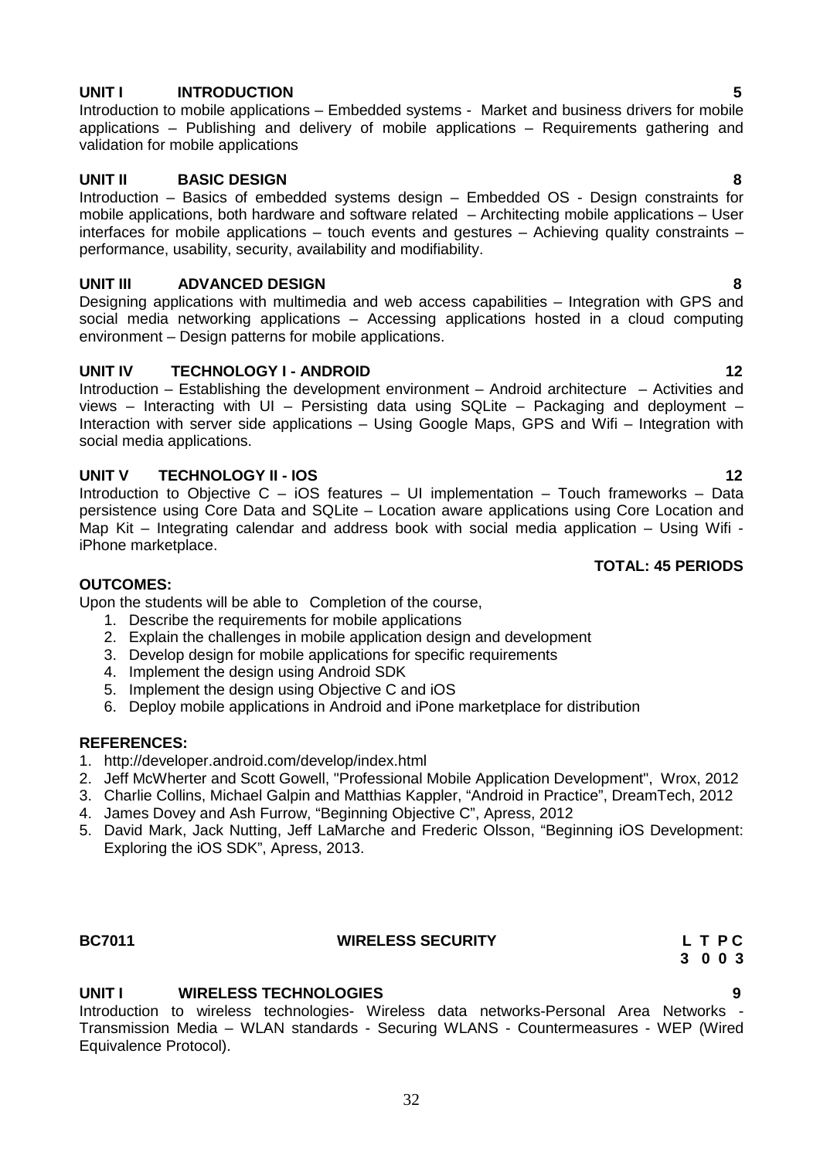### **UNIT I INTRODUCTION 5**

Introduction to mobile applications – Embedded systems - Market and business drivers for mobile applications – Publishing and delivery of mobile applications – Requirements gathering and validation for mobile applications

### **UNIT II BASIC DESIGN 8**

Introduction – Basics of embedded systems design – Embedded OS - Design constraints for mobile applications, both hardware and software related – Architecting mobile applications – User interfaces for mobile applications – touch events and gestures – Achieving quality constraints – performance, usability, security, availability and modifiability.

### **UNIT III ADVANCED DESIGN 8**

Designing applications with multimedia and web access capabilities – Integration with GPS and social media networking applications – Accessing applications hosted in a cloud computing environment – Design patterns for mobile applications.

### **UNIT IV TECHNOLOGY I - ANDROID 12**

Introduction – Establishing the development environment – Android architecture – Activities and views – Interacting with UI – Persisting data using SQLite – Packaging and deployment – Interaction with server side applications – Using Google Maps, GPS and Wifi – Integration with social media applications.

### **UNIT V TECHNOLOGY II - IOS 12**

Introduction to Objective C – iOS features – UI implementation – Touch frameworks – Data persistence using Core Data and SQLite – Location aware applications using Core Location and Map Kit – Integrating calendar and address book with social media application – Using Wifi iPhone marketplace.

### **OUTCOMES:**

Upon the students will be able to Completion of the course,

- 1. Describe the requirements for mobile applications
- 2. Explain the challenges in mobile application design and development
- 3. Develop design for mobile applications for specific requirements
- 4. Implement the design using Android SDK
- 5. Implement the design using Objective C and iOS
- 6. Deploy mobile applications in Android and iPone marketplace for distribution

### **REFERENCES:**

- 1. http://developer.android.com/develop/index.html
- 2. Jeff McWherter and Scott Gowell, "Professional Mobile Application Development", Wrox, 2012
- 3. Charlie Collins, Michael Galpin and Matthias Kappler, "Android in Practice", DreamTech, 2012
- 4. James Dovey and Ash Furrow, "Beginning Objective C", Apress, 2012
- 5. David Mark, Jack Nutting, Jeff LaMarche and Frederic Olsson, "Beginning iOS Development: Exploring the iOS SDK", Apress, 2013.

### **BC7011 WIRELESS SECURITY L T P C**

# **3 0 0 3**

# **UNIT I WIRELESS TECHNOLOGIES 9**

Introduction to wireless technologies- Wireless data networks-Personal Area Networks - Transmission Media – WLAN standards - Securing WLANS - Countermeasures - WEP (Wired Equivalence Protocol).

**TOTAL: 45 PERIODS**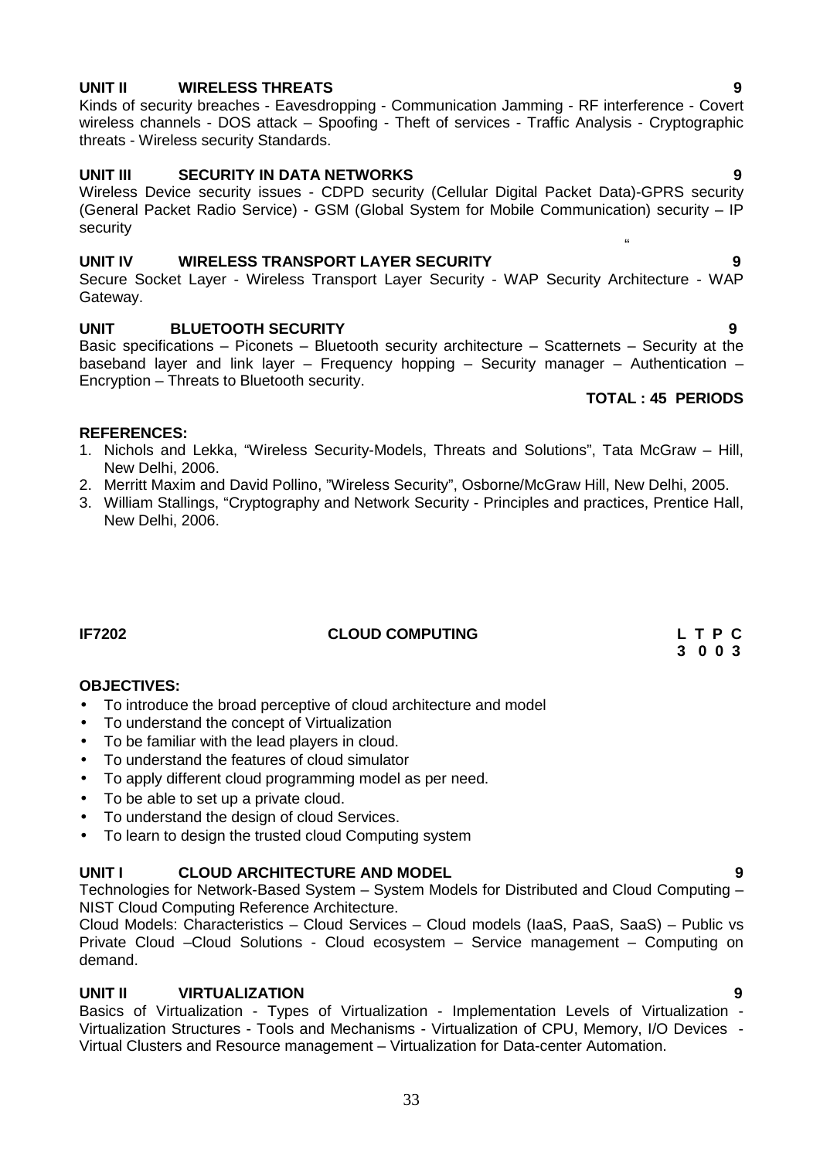## **UNIT II WIRELESS THREATS 9**

### Kinds of security breaches - Eavesdropping - Communication Jamming - RF interference - Covert wireless channels - DOS attack – Spoofing - Theft of services - Traffic Analysis - Cryptographic threats - Wireless security Standards.

### **UNIT III SECURITY IN DATA NETWORKS 9**

Wireless Device security issues - CDPD security (Cellular Digital Packet Data)-GPRS security (General Packet Radio Service) - GSM (Global System for Mobile Communication) security – IP security

### **UNIT IV WIRELESS TRANSPORT LAYER SECURITY 9**

Secure Socket Layer - Wireless Transport Layer Security - WAP Security Architecture - WAP Gateway.

### **UNIT BLUETOOTH SECURITY 9**

Basic specifications – Piconets – Bluetooth security architecture – Scatternets – Security at the baseband layer and link layer – Frequency hopping – Security manager – Authentication – Encryption – Threats to Bluetooth security.

### **TOTAL : 45 PERIODS**

"

### **REFERENCES:**

- 1. Nichols and Lekka, "Wireless Security-Models, Threats and Solutions", Tata McGraw Hill, New Delhi, 2006.
- 2. Merritt Maxim and David Pollino, "Wireless Security", Osborne/McGraw Hill, New Delhi, 2005.
- 3. William Stallings, "Cryptography and Network Security Principles and practices, Prentice Hall, New Delhi, 2006.

**IF7202 CLOUD COMPUTING L T P C**

### **OBJECTIVES:**

- To introduce the broad perceptive of cloud architecture and model
- To understand the concept of Virtualization
- To be familiar with the lead players in cloud.
- To understand the features of cloud simulator
- To apply different cloud programming model as per need.
- To be able to set up a private cloud.
- To understand the design of cloud Services.
- To learn to design the trusted cloud Computing system

### **UNIT I CLOUD ARCHITECTURE AND MODEL 9**

Technologies for Network-Based System – System Models for Distributed and Cloud Computing – NIST Cloud Computing Reference Architecture.

Cloud Models: Characteristics – Cloud Services – Cloud models (IaaS, PaaS, SaaS) – Public vs Private Cloud –Cloud Solutions - Cloud ecosystem – Service management – Computing on demand.

### **UNIT II VIRTUALIZATION 9**

Basics of Virtualization - Types of Virtualization - Implementation Levels of Virtualization - Virtualization Structures - Tools and Mechanisms - Virtualization of CPU, Memory, I/O Devices - Virtual Clusters and Resource management – Virtualization for Data-center Automation.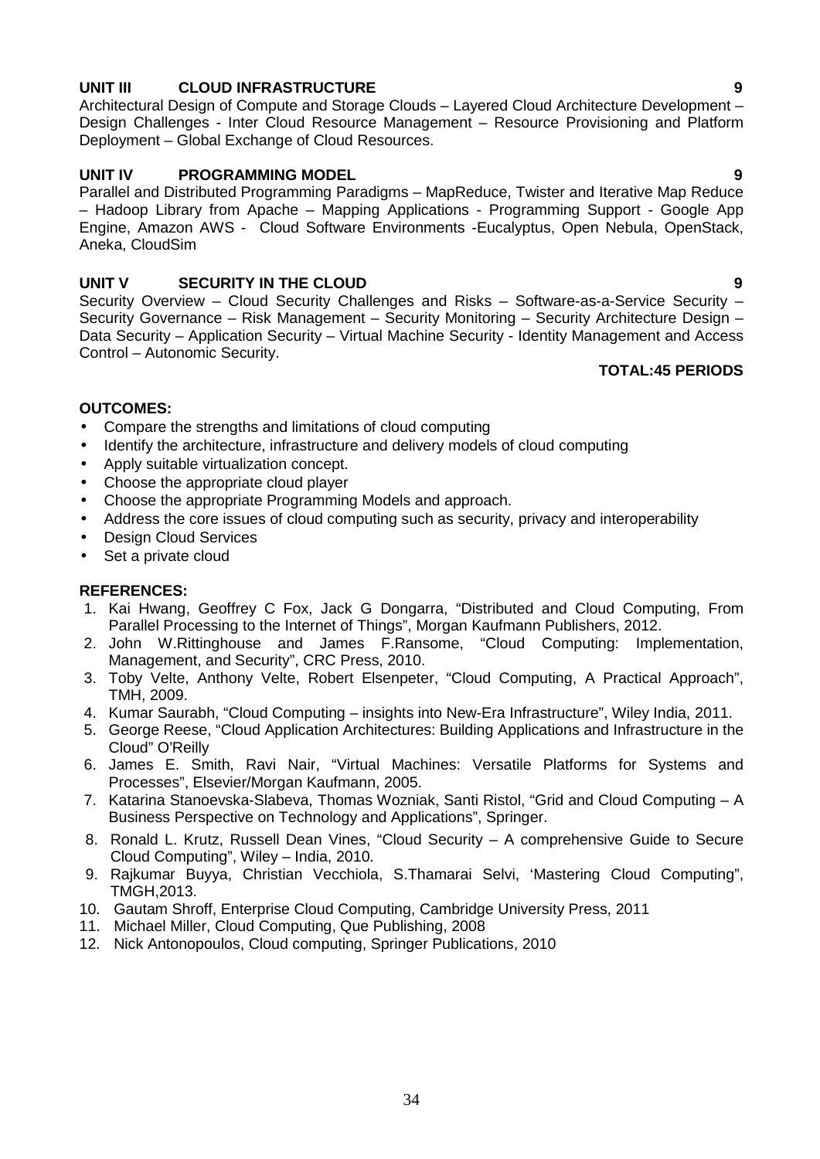### **UNIT III CLOUD INFRASTRUCTURE 9**

Architectural Design of Compute and Storage Clouds – Layered Cloud Architecture Development – Design Challenges - Inter Cloud Resource Management – Resource Provisioning and Platform Deployment – Global Exchange of Cloud Resources.

### **UNIT IV PROGRAMMING MODEL 9**

Parallel and Distributed Programming Paradigms – MapReduce, Twister and Iterative Map Reduce – Hadoop Library from Apache – Mapping Applications - Programming Support - Google App Engine, Amazon AWS - Cloud Software Environments -Eucalyptus, Open Nebula, OpenStack, Aneka, CloudSim

### **UNIT V SECURITY IN THE CLOUD 9**

Security Overview – Cloud Security Challenges and Risks – Software-as-a-Service Security – Security Governance – Risk Management – Security Monitoring – Security Architecture Design – Data Security – Application Security – Virtual Machine Security - Identity Management and Access Control – Autonomic Security.

### **TOTAL:45 PERIODS**

### **OUTCOMES:**

- Compare the strengths and limitations of cloud computing
- Identify the architecture, infrastructure and delivery models of cloud computing
- Apply suitable virtualization concept.
- Choose the appropriate cloud player
- Choose the appropriate Programming Models and approach.
- Address the core issues of cloud computing such as security, privacy and interoperability
- Design Cloud Services
- Set a private cloud

### **REFERENCES:**

- 1. Kai Hwang, Geoffrey C Fox, Jack G Dongarra, "Distributed and Cloud Computing, From Parallel Processing to the Internet of Things", Morgan Kaufmann Publishers, 2012.
- 2. John W.Rittinghouse and James F.Ransome, "Cloud Computing: Implementation, Management, and Security", CRC Press, 2010.
- 3. Toby Velte, Anthony Velte, Robert Elsenpeter, "Cloud Computing, A Practical Approach", TMH, 2009.
- 4. Kumar Saurabh, "Cloud Computing insights into New-Era Infrastructure", Wiley India, 2011.
- 5. George Reese, "Cloud Application Architectures: Building Applications and Infrastructure in the Cloud" O'Reilly
- 6. James E. Smith, Ravi Nair, "Virtual Machines: Versatile Platforms for Systems and Processes", Elsevier/Morgan Kaufmann, 2005.
- 7. Katarina Stanoevska-Slabeva, Thomas Wozniak, Santi Ristol, "Grid and Cloud Computing A Business Perspective on Technology and Applications", Springer.
- 8. Ronald L. Krutz, Russell Dean Vines, "Cloud Security A comprehensive Guide to Secure Cloud Computing", Wiley – India, 2010.
- 9. Rajkumar Buyya, Christian Vecchiola, S.Thamarai Selvi, 'Mastering Cloud Computing", TMGH,2013.
- 10. Gautam Shroff, Enterprise Cloud Computing, Cambridge University Press, 2011
- 11. Michael Miller, Cloud Computing, Que Publishing, 2008
- 12. Nick Antonopoulos, Cloud computing, Springer Publications, 2010